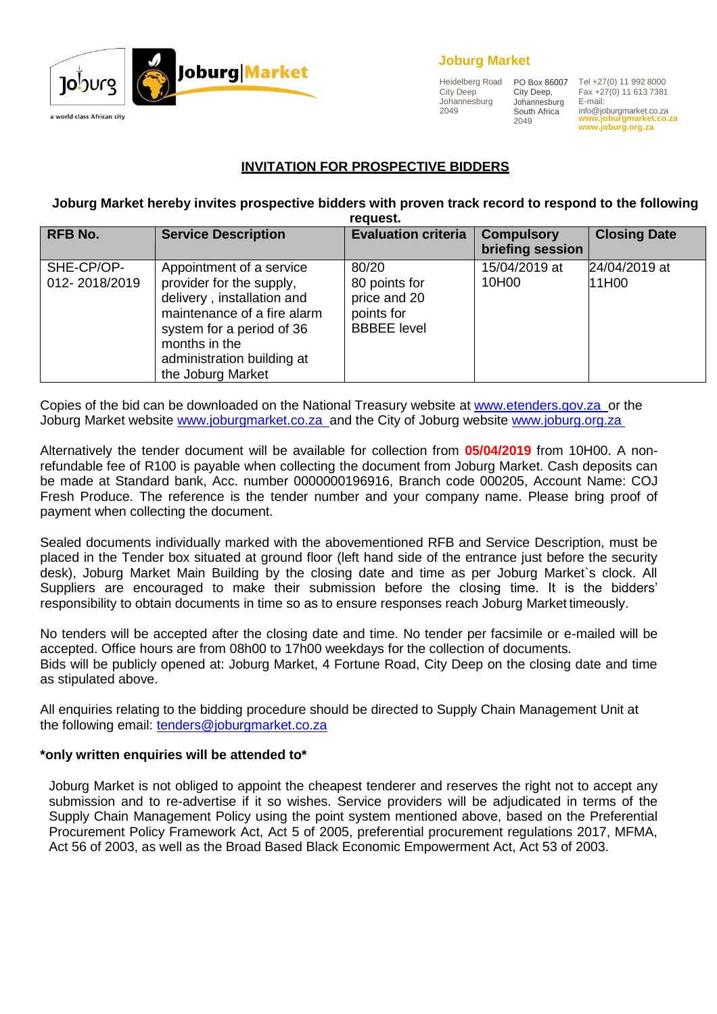

#### **Joburg Market**

Heidelberg Road City Deep Johannesburg 2049

PO Box 86007 City Deep, Johannesburg South Africa 2049

Tel +27(0) 11 992 8000 Fax +27(0) 11 613 7381 E-mail: [info@joburgmarket.co.za](mailto:info@joburgmarket.co.za) **[www.joburgmarket.co.za](http://www.joburgmarket.co.za/) [www.joburg.org.za](http://www.joburg.org.za/)**

# **INVITATION FOR PROSPECTIVE BIDDERS**

#### **Joburg Market hereby invites prospective bidders with proven track record to respond to the following request.**

| <b>RFB No.</b>              | <b>Service Description</b>                                                                                                                                                                                         | <b>Evaluation criteria</b>                                                 | <b>Compulsory</b><br>briefing session | <b>Closing Date</b>    |
|-----------------------------|--------------------------------------------------------------------------------------------------------------------------------------------------------------------------------------------------------------------|----------------------------------------------------------------------------|---------------------------------------|------------------------|
| SHE-CP/OP-<br>012-2018/2019 | Appointment of a service<br>provider for the supply,<br>delivery, installation and<br>maintenance of a fire alarm<br>system for a period of 36<br>months in the<br>administration building at<br>the Joburg Market | 80/20<br>80 points for<br>price and 20<br>points for<br><b>BBBEE</b> level | 15/04/2019 at<br>10H00                | 24/04/2019 at<br>11H00 |

Copies of the bid can be downloaded on the National Treasury website at [www.etenders.gov.za o](http://www.etenders.gov.za/)r the Joburg Market website [www.joburgmarket.co.za a](http://www.joburgmarket.co.za/)nd the City of Joburg website [www.joburg.org.za](http://www.joburg.org.za/)

Alternatively the tender document will be available for collection from **05/04/2019** from 10H00. A nonrefundable fee of R100 is payable when collecting the document from Joburg Market. Cash deposits can be made at Standard bank, Acc. number 0000000196916, Branch code 000205, Account Name: COJ Fresh Produce. The reference is the tender number and your company name. Please bring proof of payment when collecting the document.

Sealed documents individually marked with the abovementioned RFB and Service Description, must be placed in the Tender box situated at ground floor (left hand side of the entrance just before the security desk), Joburg Market Main Building by the closing date and time as per Joburg Market`s clock. All Suppliers are encouraged to make their submission before the closing time. It is the bidders' responsibility to obtain documents in time so as to ensure responses reach Joburg Market timeously.

No tenders will be accepted after the closing date and time. No tender per facsimile or e-mailed will be accepted. Office hours are from 08h00 to 17h00 weekdays for the collection of documents. Bids will be publicly opened at: Joburg Market, 4 Fortune Road, City Deep on the closing date and time as stipulated above.

All enquiries relating to the bidding procedure should be directed to Supply Chain Management Unit at the following email: [tenders@joburgmarket.co.za](mailto:tenders@joburgmarket.co.za)

#### **\*only written enquiries will be attended to\***

Joburg Market is not obliged to appoint the cheapest tenderer and reserves the right not to accept any submission and to re-advertise if it so wishes. Service providers will be adjudicated in terms of the Supply Chain Management Policy using the point system mentioned above, based on the Preferential Procurement Policy Framework Act, Act 5 of 2005, preferential procurement regulations 2017, MFMA, Act 56 of 2003, as well as the Broad Based Black Economic Empowerment Act, Act 53 of 2003.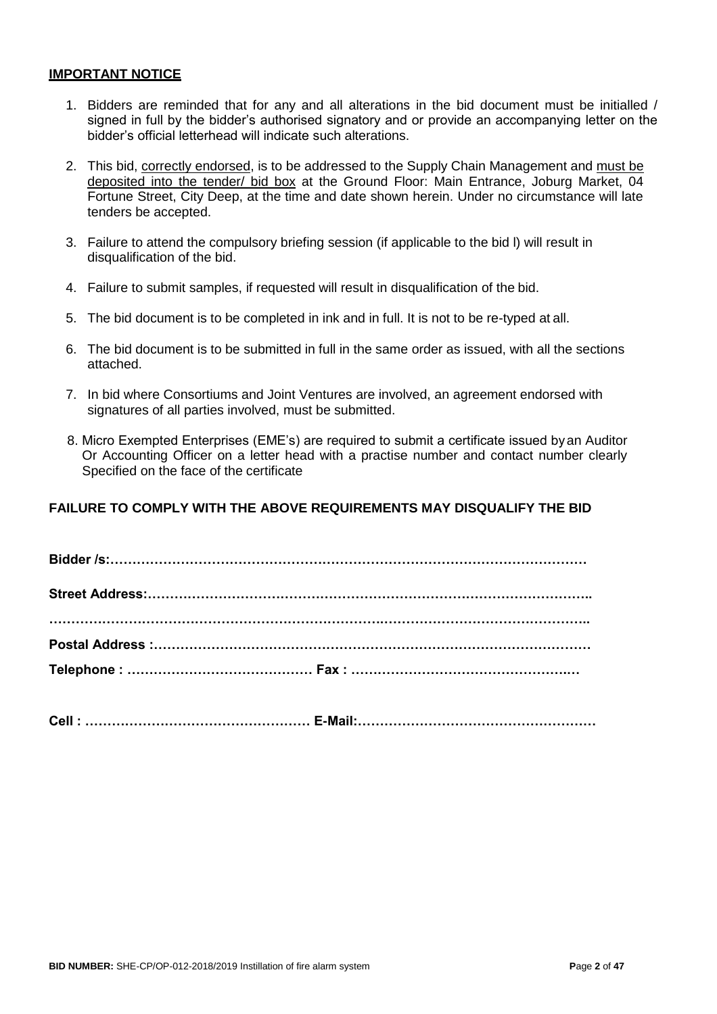#### **IMPORTANT NOTICE**

- 1. Bidders are reminded that for any and all alterations in the bid document must be initialled / signed in full by the bidder's authorised signatory and or provide an accompanying letter on the bidder's official letterhead will indicate such alterations.
- 2. This bid, correctly endorsed, is to be addressed to the Supply Chain Management and must be deposited into the tender/ bid box at the Ground Floor: Main Entrance, Joburg Market, 04 Fortune Street, City Deep, at the time and date shown herein. Under no circumstance will late tenders be accepted.
- 3. Failure to attend the compulsory briefing session (if applicable to the bid l) will result in disqualification of the bid.
- 4. Failure to submit samples, if requested will result in disqualification of the bid.
- 5. The bid document is to be completed in ink and in full. It is not to be re-typed at all.
- 6. The bid document is to be submitted in full in the same order as issued, with all the sections attached.
- 7. In bid where Consortiums and Joint Ventures are involved, an agreement endorsed with signatures of all parties involved, must be submitted.
- 8. Micro Exempted Enterprises (EME's) are required to submit a certificate issued byan Auditor Or Accounting Officer on a letter head with a practise number and contact number clearly Specified on the face of the certificate

#### **FAILURE TO COMPLY WITH THE ABOVE REQUIREMENTS MAY DISQUALIFY THE BID**

**Cell : …………………………………………… E-Mail:………………………………………………**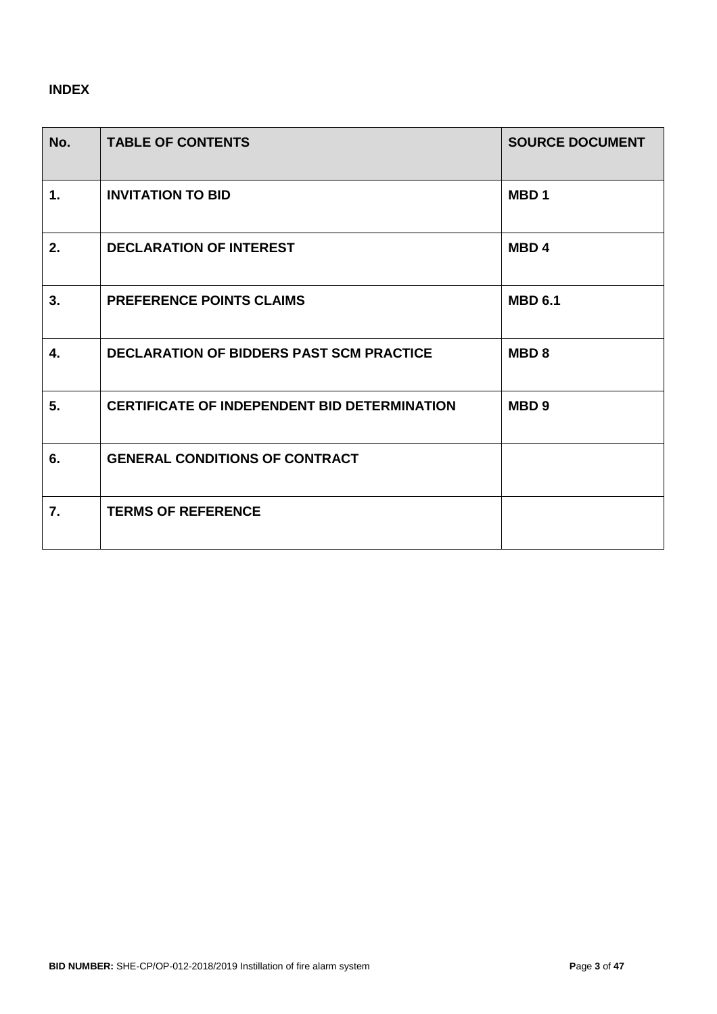# **INDEX**

| No.           | <b>TABLE OF CONTENTS</b>                            | <b>SOURCE DOCUMENT</b> |
|---------------|-----------------------------------------------------|------------------------|
| $\mathbf 1$ . | <b>INVITATION TO BID</b>                            | MBD <sub>1</sub>       |
| 2.            | <b>DECLARATION OF INTEREST</b>                      | MBD <sub>4</sub>       |
| 3.            | <b>PREFERENCE POINTS CLAIMS</b>                     | <b>MBD 6.1</b>         |
| 4.            | <b>DECLARATION OF BIDDERS PAST SCM PRACTICE</b>     | MBD <sub>8</sub>       |
| 5.            | <b>CERTIFICATE OF INDEPENDENT BID DETERMINATION</b> | MBD <sub>9</sub>       |
| 6.            | <b>GENERAL CONDITIONS OF CONTRACT</b>               |                        |
| 7.            | <b>TERMS OF REFERENCE</b>                           |                        |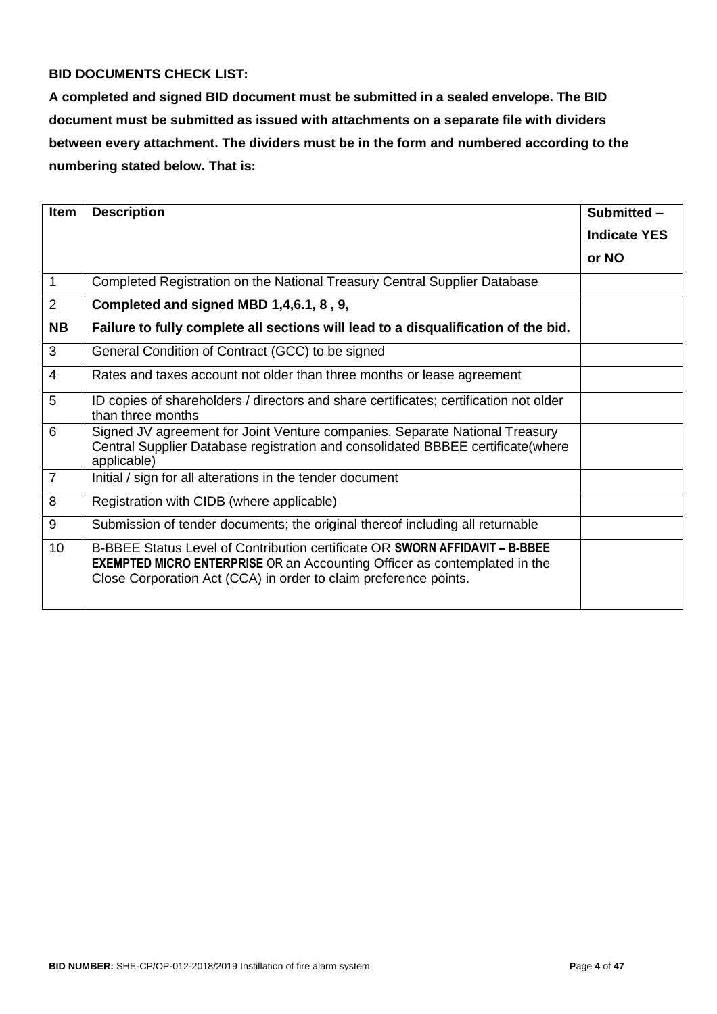# **BID DOCUMENTS CHECK LIST:**

**A completed and signed BID document must be submitted in a sealed envelope. The BID document must be submitted as issued with attachments on a separate file with dividers between every attachment. The dividers must be in the form and numbered according to the numbering stated below. That is:**

| <b>Item</b>    | <b>Description</b>                                                                                                                                                                                                                  | Submitted -         |
|----------------|-------------------------------------------------------------------------------------------------------------------------------------------------------------------------------------------------------------------------------------|---------------------|
|                |                                                                                                                                                                                                                                     | <b>Indicate YES</b> |
|                |                                                                                                                                                                                                                                     | or NO               |
| $\mathbf 1$    | Completed Registration on the National Treasury Central Supplier Database                                                                                                                                                           |                     |
| 2              | Completed and signed MBD 1,4,6.1, 8, 9,                                                                                                                                                                                             |                     |
| <b>NB</b>      | Failure to fully complete all sections will lead to a disqualification of the bid.                                                                                                                                                  |                     |
| 3              | General Condition of Contract (GCC) to be signed                                                                                                                                                                                    |                     |
| 4              | Rates and taxes account not older than three months or lease agreement                                                                                                                                                              |                     |
| 5              | ID copies of shareholders / directors and share certificates; certification not older<br>than three months                                                                                                                          |                     |
| 6              | Signed JV agreement for Joint Venture companies. Separate National Treasury<br>Central Supplier Database registration and consolidated BBBEE certificate (where<br>applicable)                                                      |                     |
| $\overline{7}$ | Initial / sign for all alterations in the tender document                                                                                                                                                                           |                     |
| 8              | Registration with CIDB (where applicable)                                                                                                                                                                                           |                     |
| 9              | Submission of tender documents; the original thereof including all returnable                                                                                                                                                       |                     |
| 10             | B-BBEE Status Level of Contribution certificate OR SWORN AFFIDAVIT - B-BBEE<br><b>EXEMPTED MICRO ENTERPRISE OR an Accounting Officer as contemplated in the</b><br>Close Corporation Act (CCA) in order to claim preference points. |                     |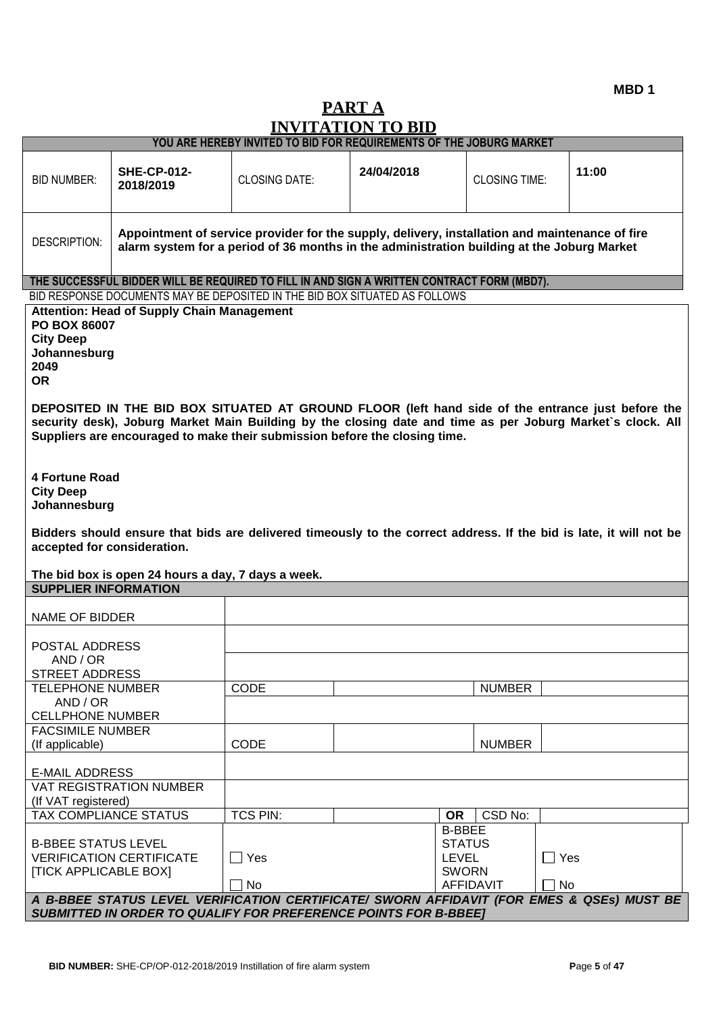# **PART A INVITATION TO BID**

|                                                                                                                                                                     |                                                                                                                                                                                               | YOU ARE HEREBY INVITED TO BID FOR REQUIREMENTS OF THE JOBURG MARKET                                                                                                                      |            |                                                                |                      |            |       |
|---------------------------------------------------------------------------------------------------------------------------------------------------------------------|-----------------------------------------------------------------------------------------------------------------------------------------------------------------------------------------------|------------------------------------------------------------------------------------------------------------------------------------------------------------------------------------------|------------|----------------------------------------------------------------|----------------------|------------|-------|
| <b>BID NUMBER:</b>                                                                                                                                                  | <b>SHE-CP-012-</b><br>2018/2019                                                                                                                                                               | <b>CLOSING DATE:</b>                                                                                                                                                                     | 24/04/2018 |                                                                | <b>CLOSING TIME:</b> |            | 11:00 |
| <b>DESCRIPTION:</b>                                                                                                                                                 | Appointment of service provider for the supply, delivery, installation and maintenance of fire<br>alarm system for a period of 36 months in the administration building at the Joburg Market  |                                                                                                                                                                                          |            |                                                                |                      |            |       |
|                                                                                                                                                                     |                                                                                                                                                                                               | THE SUCCESSFUL BIDDER WILL BE REQUIRED TO FILL IN AND SIGN A WRITTEN CONTRACT FORM (MBD7).                                                                                               |            |                                                                |                      |            |       |
|                                                                                                                                                                     |                                                                                                                                                                                               | BID RESPONSE DOCUMENTS MAY BE DEPOSITED IN THE BID BOX SITUATED AS FOLLOWS                                                                                                               |            |                                                                |                      |            |       |
| <b>City Deep</b><br>2049<br><b>OR</b>                                                                                                                               | <b>Attention: Head of Supply Chain Management</b><br><b>PO BOX 86007</b><br>Johannesburg<br>DEPOSITED IN THE BID BOX SITUATED AT GROUND FLOOR (left hand side of the entrance just before the |                                                                                                                                                                                          |            |                                                                |                      |            |       |
|                                                                                                                                                                     |                                                                                                                                                                                               | security desk), Joburg Market Main Building by the closing date and time as per Joburg Market's clock. All<br>Suppliers are encouraged to make their submission before the closing time. |            |                                                                |                      |            |       |
| 4 Fortune Road<br><b>City Deep</b><br>Johannesburg                                                                                                                  |                                                                                                                                                                                               |                                                                                                                                                                                          |            |                                                                |                      |            |       |
| accepted for consideration.                                                                                                                                         | The bid box is open 24 hours a day, 7 days a week.                                                                                                                                            | Bidders should ensure that bids are delivered timeously to the correct address. If the bid is late, it will not be                                                                       |            |                                                                |                      |            |       |
| <b>SUPPLIER INFORMATION</b>                                                                                                                                         |                                                                                                                                                                                               |                                                                                                                                                                                          |            |                                                                |                      |            |       |
| <b>NAME OF BIDDER</b>                                                                                                                                               |                                                                                                                                                                                               |                                                                                                                                                                                          |            |                                                                |                      |            |       |
| POSTAL ADDRESS                                                                                                                                                      |                                                                                                                                                                                               |                                                                                                                                                                                          |            |                                                                |                      |            |       |
| AND / OR                                                                                                                                                            |                                                                                                                                                                                               |                                                                                                                                                                                          |            |                                                                |                      |            |       |
| <b>STREET ADDRESS</b>                                                                                                                                               |                                                                                                                                                                                               |                                                                                                                                                                                          |            |                                                                |                      |            |       |
| <b>TELEPHONE NUMBER</b><br>AND / OR                                                                                                                                 |                                                                                                                                                                                               | CODE                                                                                                                                                                                     |            |                                                                | <b>NUMBER</b>        |            |       |
| <b>CELLPHONE NUMBER</b>                                                                                                                                             |                                                                                                                                                                                               |                                                                                                                                                                                          |            |                                                                |                      |            |       |
| <b>FACSIMILE NUMBER</b>                                                                                                                                             |                                                                                                                                                                                               |                                                                                                                                                                                          |            |                                                                |                      |            |       |
| (If applicable)                                                                                                                                                     |                                                                                                                                                                                               | CODE                                                                                                                                                                                     |            |                                                                | <b>NUMBER</b>        |            |       |
| <b>E-MAIL ADDRESS</b>                                                                                                                                               |                                                                                                                                                                                               |                                                                                                                                                                                          |            |                                                                |                      |            |       |
| (If VAT registered)                                                                                                                                                 | <b>VAT REGISTRATION NUMBER</b>                                                                                                                                                                |                                                                                                                                                                                          |            |                                                                |                      |            |       |
| TAX COMPLIANCE STATUS                                                                                                                                               |                                                                                                                                                                                               | <b>TCS PIN:</b>                                                                                                                                                                          |            | <b>OR</b>                                                      | CSD No:              |            |       |
| <b>B-BBEE STATUS LEVEL</b><br><b>[TICK APPLICABLE BOX]</b>                                                                                                          | <b>VERIFICATION CERTIFICATE</b>                                                                                                                                                               | $\Box$ Yes                                                                                                                                                                               |            | <b>B-BBEE</b><br><b>STATUS</b><br><b>LEVEL</b><br><b>SWORN</b> |                      | $\Box$ Yes |       |
|                                                                                                                                                                     |                                                                                                                                                                                               | $\Box$ No                                                                                                                                                                                |            | <b>AFFIDAVIT</b>                                               |                      | $\Box$ No  |       |
| A B-BBEE STATUS LEVEL VERIFICATION CERTIFICATE/ SWORN AFFIDAVIT (FOR EMES & QSEs) MUST BE<br><b>SUBMITTED IN ORDER TO QUALIFY FOR PREFERENCE POINTS FOR B-BBEET</b> |                                                                                                                                                                                               |                                                                                                                                                                                          |            |                                                                |                      |            |       |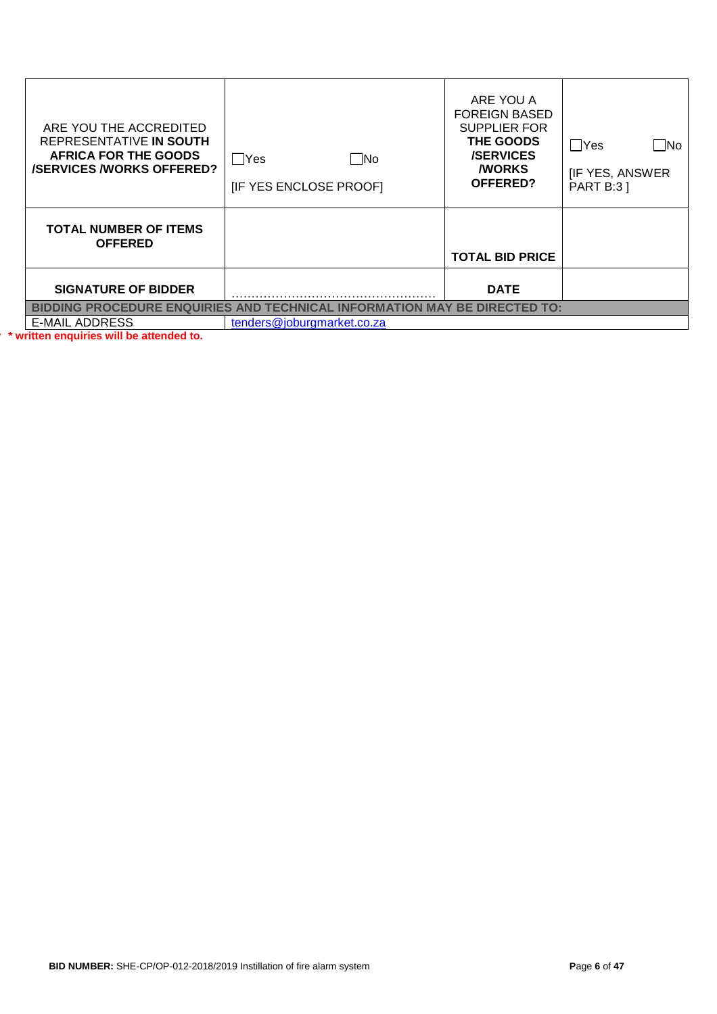| ARE YOU THE ACCREDITED<br>REPRESENTATIVE IN SOUTH<br><b>AFRICA FOR THE GOODS</b><br><b>/SERVICES/WORKS OFFERED?</b> | $\square$ No<br>   Yes<br>[IF YES ENCLOSE PROOF]                          | ARE YOU A<br><b>FOREIGN BASED</b><br><b>SUPPLIER FOR</b><br>THE GOODS<br><b>/SERVICES</b><br><b><i>NORKS</i></b><br>OFFERED? | $\square$ No<br>$\Box$ Yes<br><b>IF YES, ANSWER</b><br><b>PART B:31</b> |  |  |
|---------------------------------------------------------------------------------------------------------------------|---------------------------------------------------------------------------|------------------------------------------------------------------------------------------------------------------------------|-------------------------------------------------------------------------|--|--|
| <b>TOTAL NUMBER OF ITEMS</b><br><b>OFFERED</b>                                                                      |                                                                           | <b>TOTAL BID PRICE</b>                                                                                                       |                                                                         |  |  |
| <b>SIGNATURE OF BIDDER</b>                                                                                          |                                                                           | <b>DATE</b>                                                                                                                  |                                                                         |  |  |
|                                                                                                                     | BIDDING PROCEDURE ENQUIRIES AND TECHNICAL INFORMATION MAY BE DIRECTED TO: |                                                                                                                              |                                                                         |  |  |
| <b>E-MAIL ADDRESS</b>                                                                                               | tenders@joburgmarket.co.za                                                |                                                                                                                              |                                                                         |  |  |
| * written enquiries will be attended to.                                                                            |                                                                           |                                                                                                                              |                                                                         |  |  |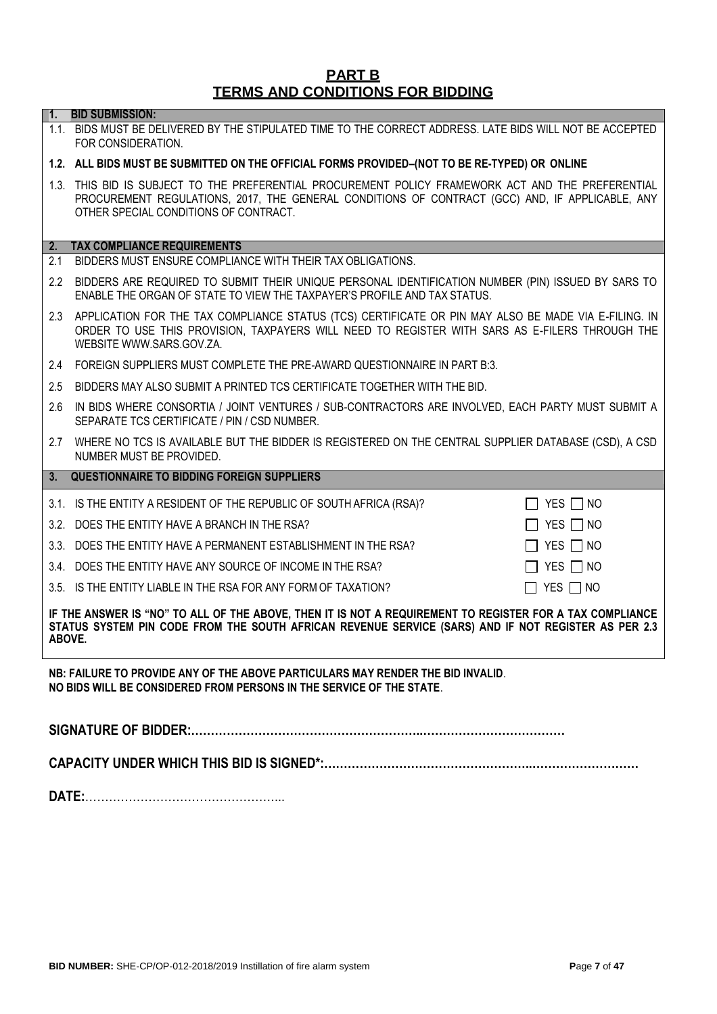#### **PART B TERMS AND CONDITIONS FOR BIDDING**

#### **1. BID SUBMISSION:**

1.1. BIDS MUST BE DELIVERED BY THE STIPULATED TIME TO THE CORRECT ADDRESS. LATE BIDS WILL NOT BE ACCEPTED FOR CONSIDERATION.

#### **1.2. ALL BIDS MUST BE SUBMITTED ON THE OFFICIAL FORMS PROVIDED–(NOT TO BE RE-TYPED) OR ONLINE**

1.3. THIS BID IS SUBJECT TO THE PREFERENTIAL PROCUREMENT POLICY FRAMEWORK ACT AND THE PREFERENTIAL PROCUREMENT REGULATIONS, 2017, THE GENERAL CONDITIONS OF CONTRACT (GCC) AND, IF APPLICABLE, ANY OTHER SPECIAL CONDITIONS OF CONTRACT.

#### **2. TAX COMPLIANCE REQUIREMENTS**

- 2.1 BIDDERS MUST ENSURE COMPLIANCE WITH THEIR TAX OBLIGATIONS.
- 2.2 BIDDERS ARE REQUIRED TO SUBMIT THEIR UNIQUE PERSONAL IDENTIFICATION NUMBER (PIN) ISSUED BY SARS TO ENABLE THE ORGAN OF STATE TO VIEW THE TAXPAYER'S PROFILE AND TAX STATUS.
- 2.3 APPLICATION FOR THE TAX COMPLIANCE STATUS (TCS) CERTIFICATE OR PIN MAY ALSO BE MADE VIA E-FILING. IN ORDER TO USE THIS PROVISION, TAXPAYERS WILL NEED TO REGISTER WITH SARS AS E-FILERS THROUGH THE WEBSITE [WWW.SARS.GOV.ZA.](http://www.sars.gov.za/)
- 2.4 FOREIGN SUPPLIERS MUST COMPLETE THE PRE-AWARD QUESTIONNAIRE IN PART B:3.
- 2.5 BIDDERS MAY ALSO SUBMIT A PRINTED TCS CERTIFICATE TOGETHER WITH THE BID.
- 2.6 IN BIDS WHERE CONSORTIA / JOINT VENTURES / SUB-CONTRACTORS ARE INVOLVED, EACH PARTY MUST SUBMIT A SEPARATE TCS CERTIFICATE / PIN / CSD NUMBER.
- 2.7 WHERE NO TCS IS AVAILABLE BUT THE BIDDER IS REGISTERED ON THE CENTRAL SUPPLIER DATABASE (CSD), A CSD NUMBER MUST BE PROVIDED.

#### **3. QUESTIONNAIRE TO BIDDING FOREIGN SUPPLIERS**

| 3.1. IS THE ENTITY A RESIDENT OF THE REPUBLIC OF SOUTH AFRICA (RSA)? | $\Box$ YES $\Box$ NO                                                                                                                                                                                                                                                                                                                                                                                                |
|----------------------------------------------------------------------|---------------------------------------------------------------------------------------------------------------------------------------------------------------------------------------------------------------------------------------------------------------------------------------------------------------------------------------------------------------------------------------------------------------------|
|                                                                      | $\overline{\phantom{a}}$ and $\overline{\phantom{a}}$ and $\overline{\phantom{a}}$ and $\overline{\phantom{a}}$ and $\overline{\phantom{a}}$ and $\overline{\phantom{a}}$ and $\overline{\phantom{a}}$ and $\overline{\phantom{a}}$ and $\overline{\phantom{a}}$ and $\overline{\phantom{a}}$ and $\overline{\phantom{a}}$ and $\overline{\phantom{a}}$ and $\overline{\phantom{a}}$ and $\overline{\phantom{a}}$ a |

3.2. DOES THE ENTITY HAVE A BRANCH IN THE RSA?  $\Box$  YES  $\Box$  YES  $\Box$  NO

3.3. DOES THE ENTITY HAVE A PERMANENT ESTABLISHMENT IN THE RSA?  $\Box$  YES  $\Box$  NO

- 3.4. DOES THE ENTITY HAVE ANY SOURCE OF INCOME IN THE RSA?  $\Box$  YES  $\Box$  NO
- 3.5. IS THE ENTITY LIABLE IN THE RSA FOR ANY FORM OF TAXATION?  $\Box$  YES  $\Box$  NO

**IF THE ANSWER IS "NO" TO ALL OF THE ABOVE, THEN IT IS NOT A REQUIREMENT TO REGISTER FOR A TAX COMPLIANCE STATUS SYSTEM PIN CODE FROM THE SOUTH AFRICAN REVENUE SERVICE (SARS) AND IF NOT REGISTER AS PER 2.3 ABOVE.**

**NB: FAILURE TO PROVIDE ANY OF THE ABOVE PARTICULARS MAY RENDER THE BID INVALID**. **NO BIDS WILL BE CONSIDERED FROM PERSONS IN THE SERVICE OF THE STATE**.

**SIGNATURE OF BIDDER:…………………………………………………..………………………………**

**CAPACITY UNDER WHICH THIS BID IS SIGNED\*:……………………………………………..………………………**

**DATE:**…………………………………………...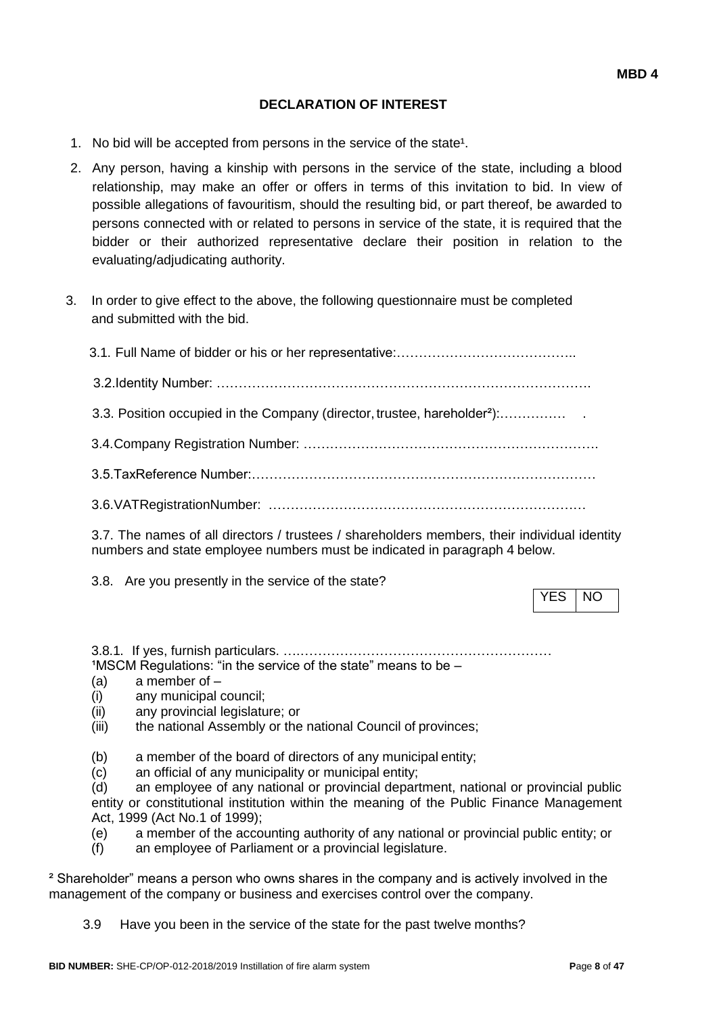# **DECLARATION OF INTEREST**

- 1. No bid will be accepted from persons in the service of the state<sup>1</sup>.
- 2. Any person, having a kinship with persons in the service of the state, including a blood relationship, may make an offer or offers in terms of this invitation to bid. In view of possible allegations of favouritism, should the resulting bid, or part thereof, be awarded to persons connected with or related to persons in service of the state, it is required that the bidder or their authorized representative declare their position in relation to the evaluating/adjudicating authority.
- 3. In order to give effect to the above, the following questionnaire must be completed and submitted with the bid.

| 3.3. Position occupied in the Company (director, trustee, hareholder <sup>2</sup> ): |
|--------------------------------------------------------------------------------------|
|                                                                                      |
|                                                                                      |
|                                                                                      |
|                                                                                      |

3.7. The names of all directors / trustees / shareholders members, their individual identity numbers and state employee numbers must be indicated in paragraph 4 below.

3.8. Are you presently in the service of the state?

YES | NO

3.8.1. If yes, furnish particulars. ….…………………………………………………  $1$ MSCM Regulations: "in the service of the state" means to be  $-$ 

- (a) a member of –
- (i) any municipal council;
- (ii) any provincial legislature; or
- (iii) the national Assembly or the national Council of provinces;
- (b) a member of the board of directors of any municipal entity;
- (c) an official of any municipality or municipal entity;

(d) an employee of any national or provincial department, national or provincial public entity or constitutional institution within the meaning of the Public Finance Management Act, 1999 (Act No.1 of 1999);

- (e) a member of the accounting authority of any national or provincial public entity; or
- (f) an employee of Parliament or a provincial legislature.

² Shareholder" means a person who owns shares in the company and is actively involved in the management of the company or business and exercises control over the company.

3.9 Have you been in the service of the state for the past twelve months?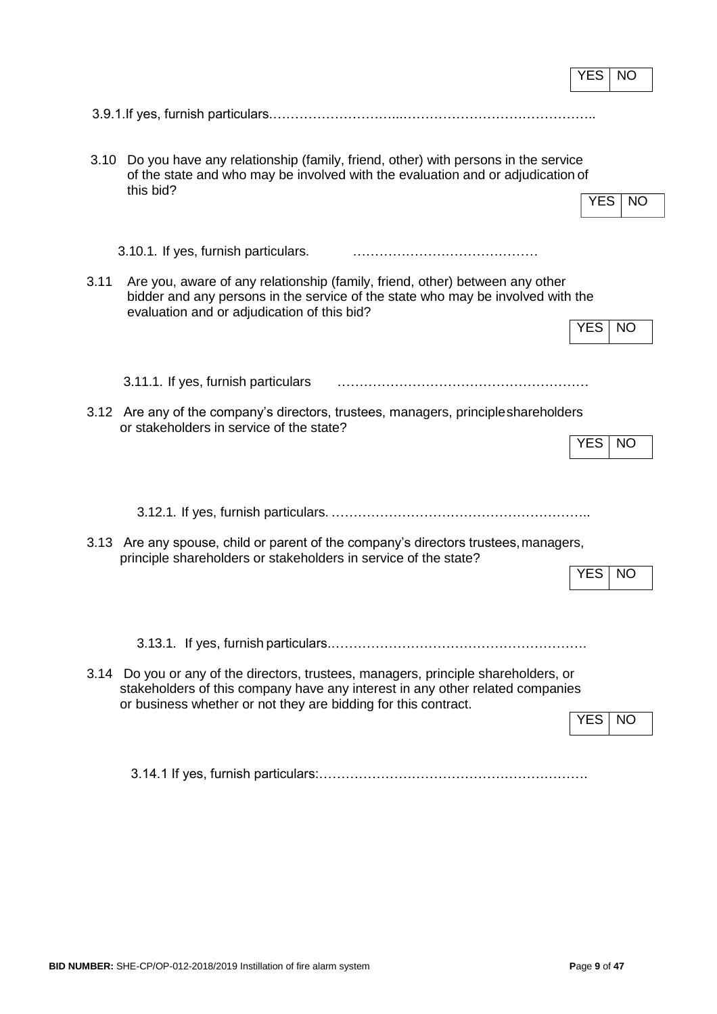|      |                                                                                                                                                                                                                                        | YES        | NO        |
|------|----------------------------------------------------------------------------------------------------------------------------------------------------------------------------------------------------------------------------------------|------------|-----------|
|      |                                                                                                                                                                                                                                        |            |           |
| 3.10 | Do you have any relationship (family, friend, other) with persons in the service<br>of the state and who may be involved with the evaluation and or adjudication of<br>this bid?                                                       | <b>YES</b> | <b>NO</b> |
|      | 3.10.1. If yes, furnish particulars.                                                                                                                                                                                                   |            |           |
| 3.11 | Are you, aware of any relationship (family, friend, other) between any other<br>bidder and any persons in the service of the state who may be involved with the<br>evaluation and or adjudication of this bid?                         | <b>YES</b> | <b>NO</b> |
|      | 3.11.1. If yes, furnish particulars                                                                                                                                                                                                    |            |           |
|      | 3.12 Are any of the company's directors, trustees, managers, principle shareholders<br>or stakeholders in service of the state?                                                                                                        | <b>YES</b> | <b>NO</b> |
|      |                                                                                                                                                                                                                                        |            |           |
|      | 3.13 Are any spouse, child or parent of the company's directors trustees, managers,<br>principle shareholders or stakeholders in service of the state?                                                                                 | <b>YES</b> | <b>NO</b> |
|      |                                                                                                                                                                                                                                        |            |           |
|      | 3.14 Do you or any of the directors, trustees, managers, principle shareholders, or<br>stakeholders of this company have any interest in any other related companies<br>or business whether or not they are bidding for this contract. | YES.       | NO.       |
|      |                                                                                                                                                                                                                                        |            |           |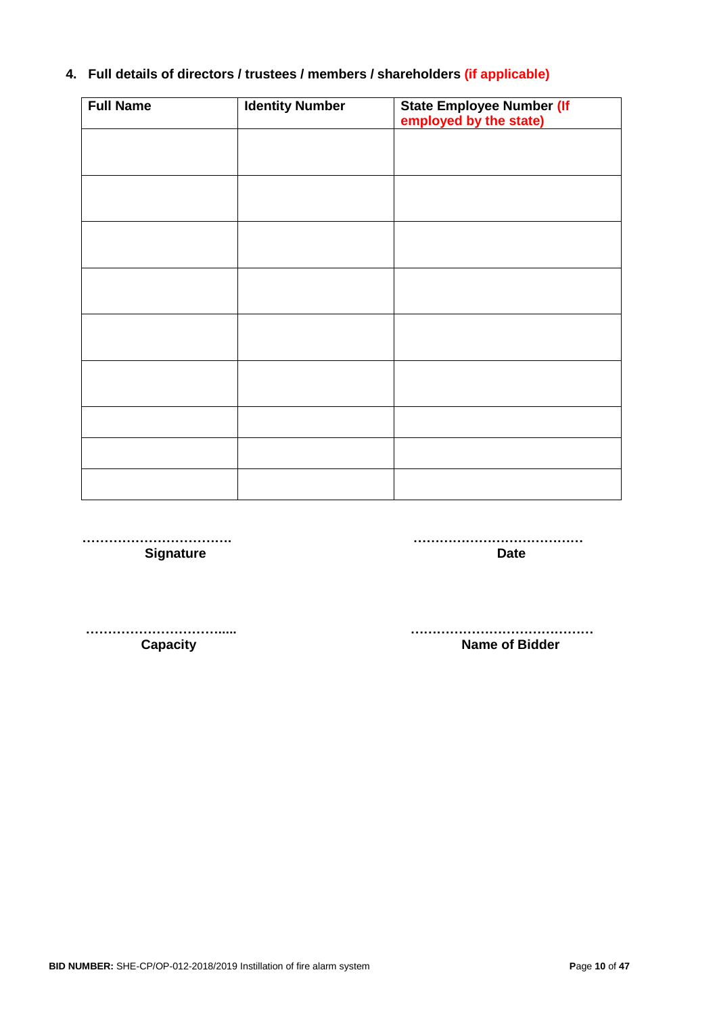# **4. Full details of directors / trustees / members / shareholders (if applicable)**

| <b>Full Name</b> | <b>Identity Number</b> | State Employee Number (If<br>employed by the state) |
|------------------|------------------------|-----------------------------------------------------|
|                  |                        |                                                     |
|                  |                        |                                                     |
|                  |                        |                                                     |
|                  |                        |                                                     |
|                  |                        |                                                     |
|                  |                        |                                                     |
|                  |                        |                                                     |
|                  |                        |                                                     |
|                  |                        |                                                     |
|                  |                        |                                                     |
|                  |                        |                                                     |

**……………………………. ………………………………… Signature Date** 

**…………………………..... ……………………………………** 

**Capacity Capacity Name of Bidder**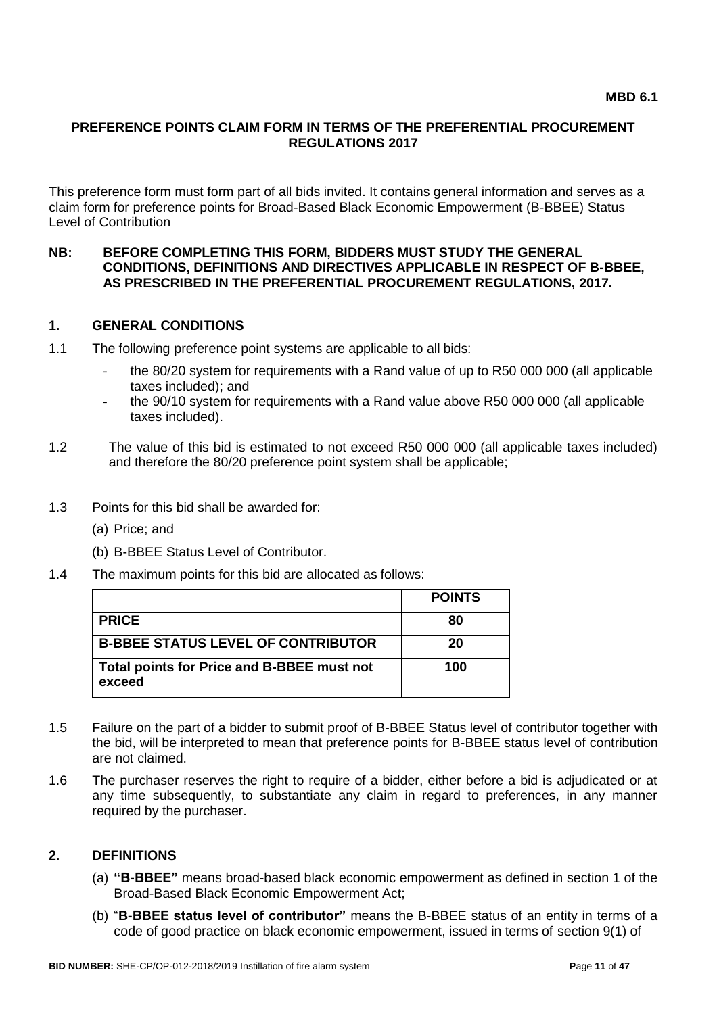## **PREFERENCE POINTS CLAIM FORM IN TERMS OF THE PREFERENTIAL PROCUREMENT REGULATIONS 2017**

This preference form must form part of all bids invited. It contains general information and serves as a claim form for preference points for Broad-Based Black Economic Empowerment (B-BBEE) Status Level of Contribution

#### **NB: BEFORE COMPLETING THIS FORM, BIDDERS MUST STUDY THE GENERAL CONDITIONS, DEFINITIONS AND DIRECTIVES APPLICABLE IN RESPECT OF B-BBEE, AS PRESCRIBED IN THE PREFERENTIAL PROCUREMENT REGULATIONS, 2017.**

#### **1. GENERAL CONDITIONS**

- 1.1 The following preference point systems are applicable to all bids:
	- the 80/20 system for requirements with a Rand value of up to R50 000 000 (all applicable taxes included); and
	- the 90/10 system for requirements with a Rand value above R50 000 000 (all applicable taxes included).
- 1.2 The value of this bid is estimated to not exceed R50 000 000 (all applicable taxes included) and therefore the 80/20 preference point system shall be applicable;
- 1.3 Points for this bid shall be awarded for:
	- (a) Price; and
	- (b) B-BBEE Status Level of Contributor.
- 1.4 The maximum points for this bid are allocated as follows:

|                                                      | <b>POINTS</b> |
|------------------------------------------------------|---------------|
| <b>PRICE</b>                                         | 80            |
| <b>B-BBEE STATUS LEVEL OF CONTRIBUTOR</b>            | 20            |
| Total points for Price and B-BBEE must not<br>exceed | 100           |

- 1.5 Failure on the part of a bidder to submit proof of B-BBEE Status level of contributor together with the bid, will be interpreted to mean that preference points for B-BBEE status level of contribution are not claimed.
- 1.6 The purchaser reserves the right to require of a bidder, either before a bid is adjudicated or at any time subsequently, to substantiate any claim in regard to preferences, in any manner required by the purchaser.

#### **2. DEFINITIONS**

- (a) **"B-BBEE"** means broad-based black economic empowerment as defined in section 1 of the Broad-Based Black Economic Empowerment Act;
- (b) "**B-BBEE status level of contributor"** means the B-BBEE status of an entity in terms of a code of good practice on black economic empowerment, issued in terms of section 9(1) of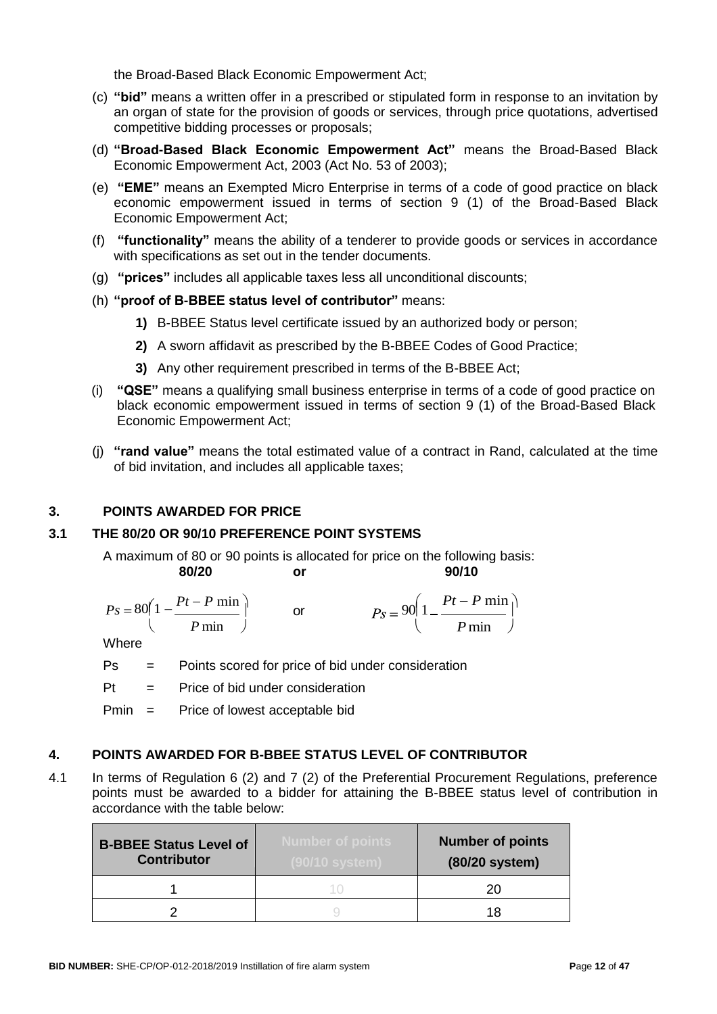the Broad-Based Black Economic Empowerment Act;

- (c) **"bid"** means a written offer in a prescribed or stipulated form in response to an invitation by an organ of state for the provision of goods or services, through price quotations, advertised competitive bidding processes or proposals;
- (d) **"Broad-Based Black Economic Empowerment Act"** means the Broad-Based Black Economic Empowerment Act, 2003 (Act No. 53 of 2003);
- (e) **"EME"** means an Exempted Micro Enterprise in terms of a code of good practice on black economic empowerment issued in terms of section 9 (1) of the Broad-Based Black Economic Empowerment Act;
- (f) **"functionality"** means the ability of a tenderer to provide goods or services in accordance with specifications as set out in the tender documents.
- (g) **"prices"** includes all applicable taxes less all unconditional discounts;
- (h) **"proof of B-BBEE status level of contributor"** means:
	- **1)** B-BBEE Status level certificate issued by an authorized body or person;
	- **2)** A sworn affidavit as prescribed by the B-BBEE Codes of Good Practice;
	- **3)** Any other requirement prescribed in terms of the B-BBEE Act;
- (i) **"QSE"** means a qualifying small business enterprise in terms of a code of good practice on black economic empowerment issued in terms of section 9 (1) of the Broad-Based Black Economic Empowerment Act;
- (j) **"rand value"** means the total estimated value of a contract in Rand, calculated at the time of bid invitation, and includes all applicable taxes;

#### **3. POINTS AWARDED FOR PRICE**

#### **3.1 THE 80/20 OR 90/10 PREFERENCE POINT SYSTEMS**

A maximum of 80 or 90 points is allocated for price on the following basis: **80/20 or 90/10**

$$
Ps = 80\left(1 - \frac{Pt - P \min}{P \min}\right) \qquad \text{or} \qquad \qquad Ps = 90\left(1 - \frac{Pt - P \min}{P \min}\right)
$$

**Where** 

- Ps = Points scored for price of bid under consideration
- Pt = Price of bid under consideration

Pmin = Price of lowest acceptable bid

#### **4. POINTS AWARDED FOR B-BBEE STATUS LEVEL OF CONTRIBUTOR**

4.1 In terms of Regulation 6 (2) and 7 (2) of the Preferential Procurement Regulations, preference points must be awarded to a bidder for attaining the B-BBEE status level of contribution in accordance with the table below:

| <b>B-BBEE Status Level of</b><br><b>Contributor</b> | <b>Number of points</b><br>(90/10 system) | <b>Number of points</b><br>(80/20 system) |
|-----------------------------------------------------|-------------------------------------------|-------------------------------------------|
|                                                     |                                           | 20                                        |
|                                                     |                                           | 18                                        |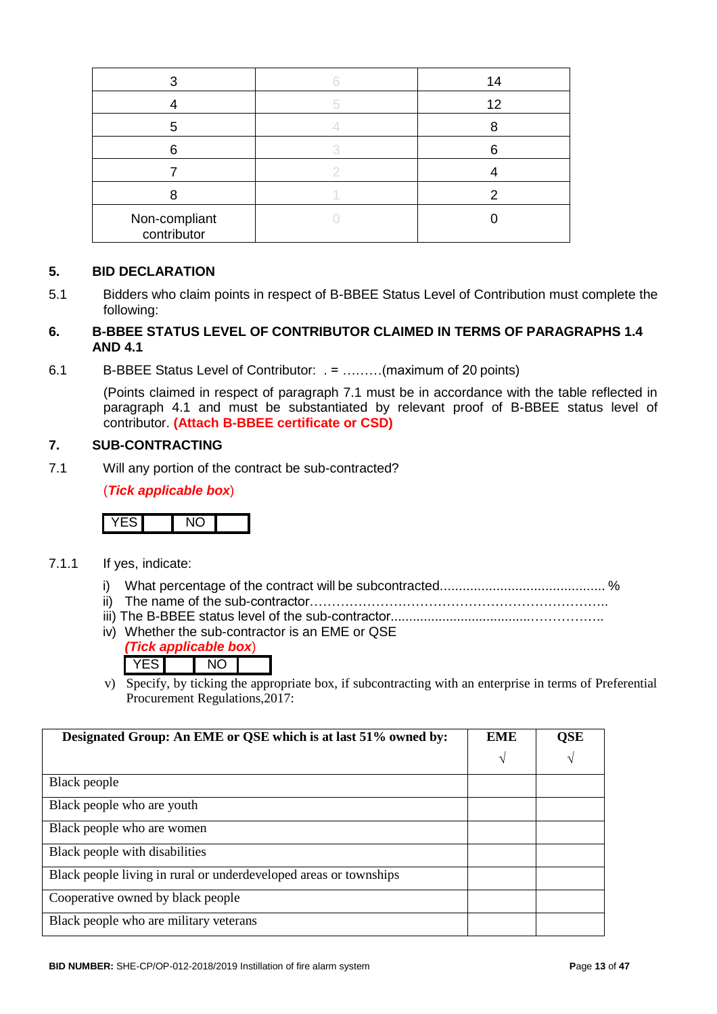|                              | 14 |
|------------------------------|----|
|                              | 12 |
| 5                            |    |
| Բ                            |    |
|                              |    |
|                              |    |
| Non-compliant<br>contributor |    |

#### **5. BID DECLARATION**

5.1 Bidders who claim points in respect of B-BBEE Status Level of Contribution must complete the following:

#### **6. B-BBEE STATUS LEVEL OF CONTRIBUTOR CLAIMED IN TERMS OF PARAGRAPHS 1.4 AND 4.1**

6.1 B-BBEE Status Level of Contributor: . = ………(maximum of 20 points)

(Points claimed in respect of paragraph 7.1 must be in accordance with the table reflected in paragraph 4.1 and must be substantiated by relevant proof of B-BBEE status level of contributor. **(Attach B-BBEE certificate or CSD)**

## **7. SUB-CONTRACTING**

7.1 Will any portion of the contract be sub-contracted?

(*Tick applicable box*)



- 7.1.1 If yes, indicate:
	- i) What percentage of the contract will be subcontracted............................................ %
	- ii) The name of the sub-contractor…………………………………………………………..
	- iii) The B-BBEE status level of the sub-contractor......................................……………..
	- iv) Whether the sub-contractor is an EME or QSE
		- *(Tick applicable box*) YES NO
	- v) Specify, by ticking the appropriate box, if subcontracting with an enterprise in terms of Preferential Procurement Regulations,2017:

| Designated Group: An EME or QSE which is at last 51% owned by:    | <b>EME</b> | <b>QSE</b> |
|-------------------------------------------------------------------|------------|------------|
|                                                                   | V          | V          |
| Black people                                                      |            |            |
| Black people who are youth                                        |            |            |
| Black people who are women                                        |            |            |
| Black people with disabilities                                    |            |            |
| Black people living in rural or underdeveloped areas or townships |            |            |
| Cooperative owned by black people                                 |            |            |
| Black people who are military veterans                            |            |            |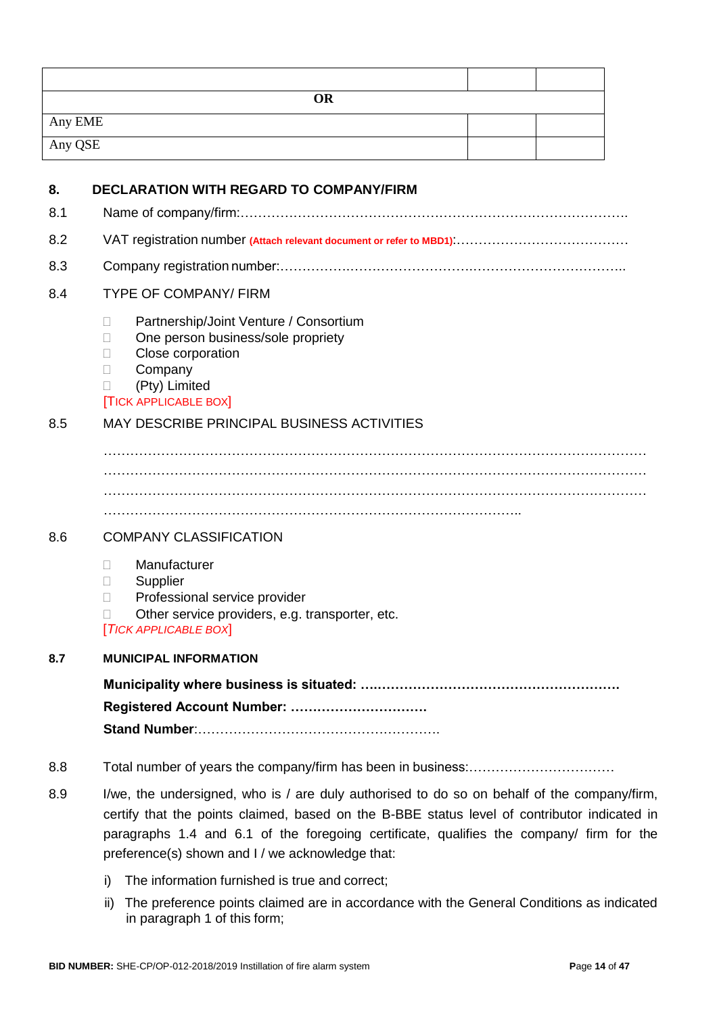| <b>OR</b> |  |
|-----------|--|
| Any EME   |  |
| Any QSE   |  |
|           |  |

| 8.  | <b>DECLARATION WITH REGARD TO COMPANY/FIRM</b>                                                                                                                                                                                                                                          |
|-----|-----------------------------------------------------------------------------------------------------------------------------------------------------------------------------------------------------------------------------------------------------------------------------------------|
| 8.1 |                                                                                                                                                                                                                                                                                         |
| 8.2 |                                                                                                                                                                                                                                                                                         |
| 8.3 |                                                                                                                                                                                                                                                                                         |
| 8.4 | <b>TYPE OF COMPANY/ FIRM</b>                                                                                                                                                                                                                                                            |
|     | Partnership/Joint Venture / Consortium<br>П<br>One person business/sole propriety<br>Ш<br>Close corporation<br>$\Box$<br>Company<br>Ш<br>(Pty) Limited<br><b>TICK APPLICABLE BOX</b>                                                                                                    |
| 8.5 | MAY DESCRIBE PRINCIPAL BUSINESS ACTIVITIES                                                                                                                                                                                                                                              |
|     |                                                                                                                                                                                                                                                                                         |
|     |                                                                                                                                                                                                                                                                                         |
|     |                                                                                                                                                                                                                                                                                         |
| 8.6 | <b>COMPANY CLASSIFICATION</b>                                                                                                                                                                                                                                                           |
|     | Manufacturer<br>$\mathbf{L}$<br>Supplier<br>$\Box$<br>Professional service provider<br>П<br>Other service providers, e.g. transporter, etc.<br><b>TICK APPLICABLE BOX</b>                                                                                                               |
| 8.7 | <b>MUNICIPAL INFORMATION</b>                                                                                                                                                                                                                                                            |
|     |                                                                                                                                                                                                                                                                                         |
|     | Registered Account Number:                                                                                                                                                                                                                                                              |
|     |                                                                                                                                                                                                                                                                                         |
| 8.8 |                                                                                                                                                                                                                                                                                         |
| 8.9 | I/we, the undersigned, who is / are duly authorised to do so on behalf of the company/firm,<br>certify that the points claimed, based on the B-BBE status level of contributor indicated in<br>paragraphs 1.4 and 6.1 of the foregoing certificate, qualifies the company/ firm for the |

i) The information furnished is true and correct;

preference(s) shown and I / we acknowledge that:

ii) The preference points claimed are in accordance with the General Conditions as indicated in paragraph 1 of this form;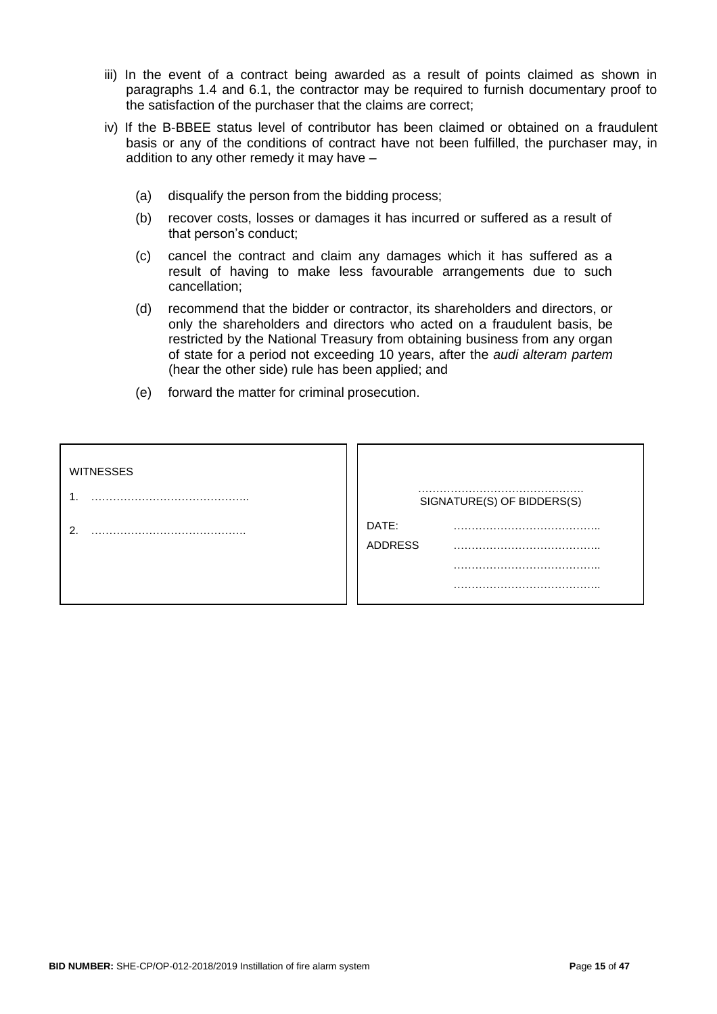- iii) In the event of a contract being awarded as a result of points claimed as shown in paragraphs 1.4 and 6.1, the contractor may be required to furnish documentary proof to the satisfaction of the purchaser that the claims are correct;
- iv) If the B-BBEE status level of contributor has been claimed or obtained on a fraudulent basis or any of the conditions of contract have not been fulfilled, the purchaser may, in addition to any other remedy it may have –
	- (a) disqualify the person from the bidding process;
	- (b) recover costs, losses or damages it has incurred or suffered as a result of that person's conduct;
	- (c) cancel the contract and claim any damages which it has suffered as a result of having to make less favourable arrangements due to such cancellation;
	- (d) recommend that the bidder or contractor, its shareholders and directors, or only the shareholders and directors who acted on a fraudulent basis, be restricted by the National Treasury from obtaining business from any organ of state for a period not exceeding 10 years, after the *audi alteram partem*  (hear the other side) rule has been applied; and
	- (e) forward the matter for criminal prosecution.

| <b>WITNESSES</b> |                  | SIGNATURE(S) OF BIDDERS(S) |
|------------------|------------------|----------------------------|
| ີ                | DATE:<br>ADDRESS |                            |
|                  |                  |                            |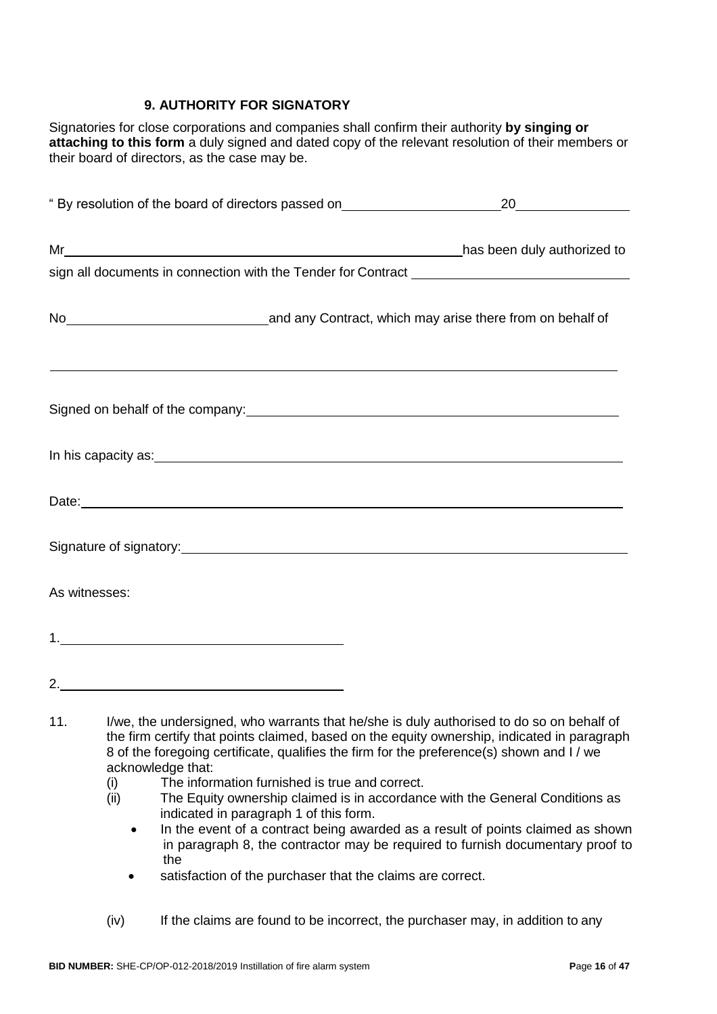# **9. AUTHORITY FOR SIGNATORY**

Signatories for close corporations and companies shall confirm their authority **by singing or attaching to this form** a duly signed and dated copy of the relevant resolution of their members or their board of directors, as the case may be.

| sign all documents in connection with the Tender for Contract [1944] [1944] [1944] [1944] [1944] [1944] [1944]                                                                                                                       |  |  |
|--------------------------------------------------------------------------------------------------------------------------------------------------------------------------------------------------------------------------------------|--|--|
|                                                                                                                                                                                                                                      |  |  |
|                                                                                                                                                                                                                                      |  |  |
|                                                                                                                                                                                                                                      |  |  |
| <u> 1989 - Andrea Santana, amerikana amerikana amerikana amerikana amerikana amerikana amerikana amerikana amerika</u>                                                                                                               |  |  |
|                                                                                                                                                                                                                                      |  |  |
| Signed on behalf of the company:<br>Signed on behalf of the company:                                                                                                                                                                 |  |  |
| In his capacity as: experience of the state of the state of the state of the state of the state of the state of                                                                                                                      |  |  |
|                                                                                                                                                                                                                                      |  |  |
| Date: <u>example and the contract of the contract of the contract of the contract of the contract of the contract of the contract of the contract of the contract of the contract of the contract of the contract of the contrac</u> |  |  |
|                                                                                                                                                                                                                                      |  |  |
|                                                                                                                                                                                                                                      |  |  |
|                                                                                                                                                                                                                                      |  |  |
| As witnesses:                                                                                                                                                                                                                        |  |  |
|                                                                                                                                                                                                                                      |  |  |
|                                                                                                                                                                                                                                      |  |  |
| 2.                                                                                                                                                                                                                                   |  |  |
|                                                                                                                                                                                                                                      |  |  |

- (i) The information furnished is true and correct.<br>(ii) The Equity ownership claimed is in accordanc
	- The Equity ownership claimed is in accordance with the General Conditions as indicated in paragraph 1 of this form.
		- In the event of a contract being awarded as a result of points claimed as shown in paragraph 8, the contractor may be required to furnish documentary proof to the
		- **satisfaction of the purchaser that the claims are correct.**
- (iv) If the claims are found to be incorrect, the purchaser may, in addition to any

<sup>11.</sup> I/we, the undersigned, who warrants that he/she is duly authorised to do so on behalf of the firm certify that points claimed, based on the equity ownership, indicated in paragraph 8 of the foregoing certificate, qualifies the firm for the preference(s) shown and I / we acknowledge that: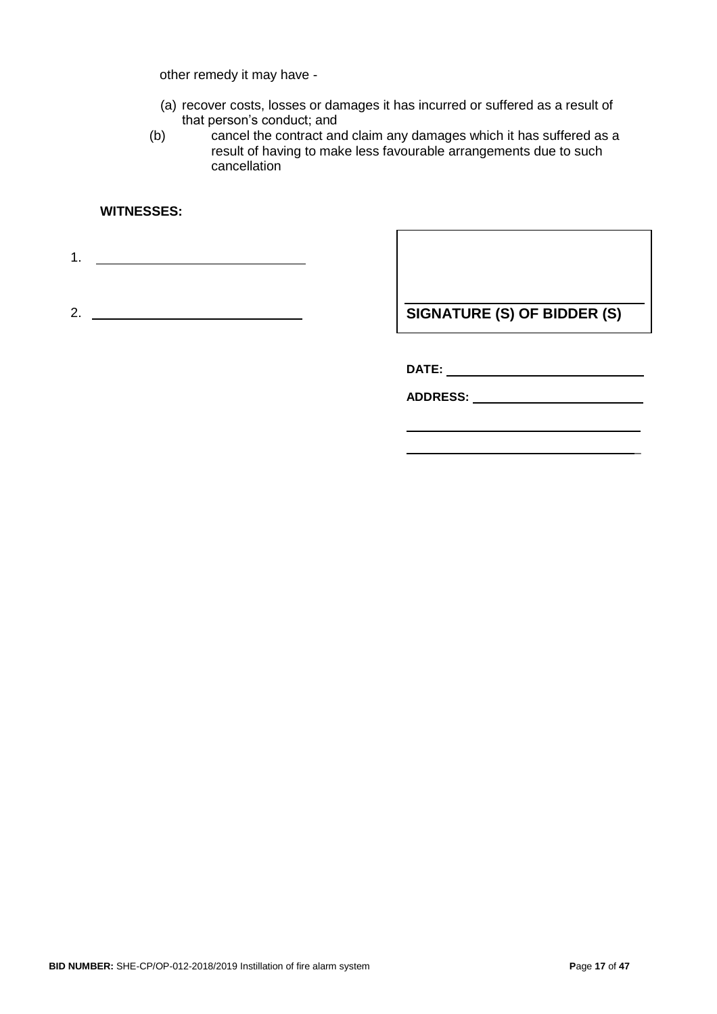other remedy it may have -

- (a) recover costs, losses or damages it has incurred or suffered as a result of that person's conduct; and
- (b) cancel the contract and claim any damages which it has suffered as a result of having to make less favourable arrangements due to such cancellation

#### **WITNESSES:**

1.

2.

**SIGNATURE (S) OF BIDDER (S)**

**DATE:** 

**ADDRESS:**

\_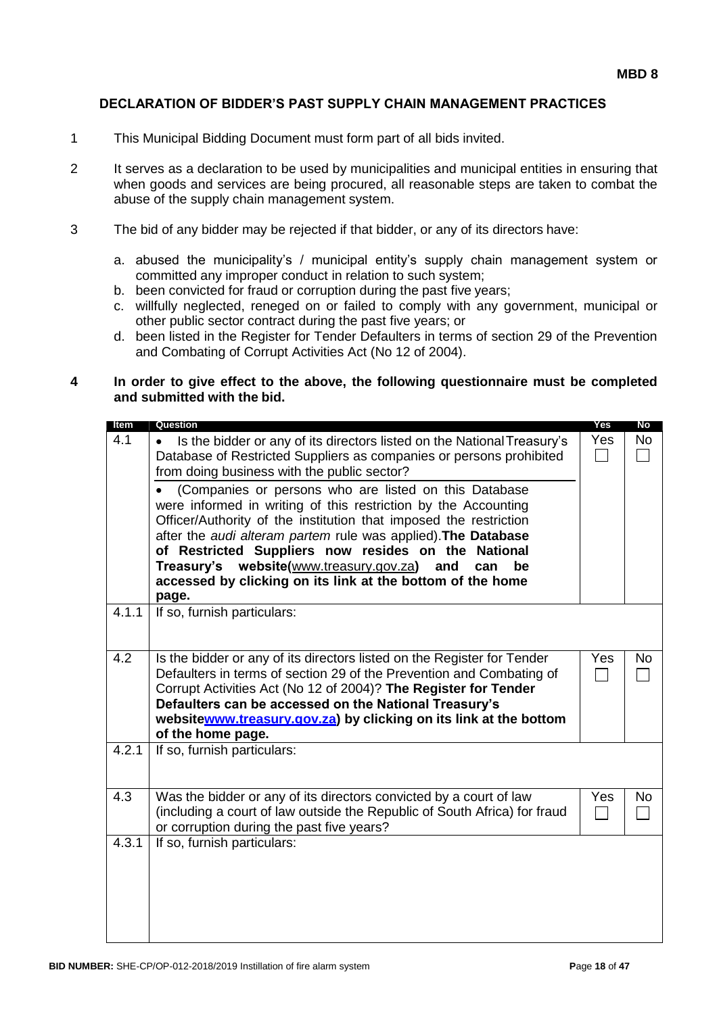#### **DECLARATION OF BIDDER'S PAST SUPPLY CHAIN MANAGEMENT PRACTICES**

- 1 This Municipal Bidding Document must form part of all bids invited.
- 2 It serves as a declaration to be used by municipalities and municipal entities in ensuring that when goods and services are being procured, all reasonable steps are taken to combat the abuse of the supply chain management system.
- 3 The bid of any bidder may be rejected if that bidder, or any of its directors have:
	- a. abused the municipality's / municipal entity's supply chain management system or committed any improper conduct in relation to such system;
	- b. been convicted for fraud or corruption during the past five years;
	- c. willfully neglected, reneged on or failed to comply with any government, municipal or other public sector contract during the past five years; or
	- d. been listed in the Register for Tender Defaulters in terms of section 29 of the Prevention and Combating of Corrupt Activities Act (No 12 of 2004).

#### **4 In order to give effect to the above, the following questionnaire must be completed and submitted with the bid.**

| Item  | Question                                                                                                                                                                                                                                                                                                                                                                                                                                                                                                                                                                                                                                           | Yes                                | No        |
|-------|----------------------------------------------------------------------------------------------------------------------------------------------------------------------------------------------------------------------------------------------------------------------------------------------------------------------------------------------------------------------------------------------------------------------------------------------------------------------------------------------------------------------------------------------------------------------------------------------------------------------------------------------------|------------------------------------|-----------|
| 4.1   | Is the bidder or any of its directors listed on the National Treasury's<br>Database of Restricted Suppliers as companies or persons prohibited<br>from doing business with the public sector?<br>(Companies or persons who are listed on this Database<br>were informed in writing of this restriction by the Accounting<br>Officer/Authority of the institution that imposed the restriction<br>after the audi alteram partem rule was applied). The Database<br>of Restricted Suppliers now resides on the National<br>Treasury's website(www.treasury.gov.za)<br>and<br>can<br>be<br>accessed by clicking on its link at the bottom of the home | Yes<br>$\mathcal{L}_{\mathcal{A}}$ | <b>No</b> |
|       | page.                                                                                                                                                                                                                                                                                                                                                                                                                                                                                                                                                                                                                                              |                                    |           |
| 4.1.1 | If so, furnish particulars:                                                                                                                                                                                                                                                                                                                                                                                                                                                                                                                                                                                                                        |                                    |           |
| 4.2   | Is the bidder or any of its directors listed on the Register for Tender<br>Defaulters in terms of section 29 of the Prevention and Combating of<br>Corrupt Activities Act (No 12 of 2004)? The Register for Tender<br>Defaulters can be accessed on the National Treasury's<br>websitewww.treasury.gov.za) by clicking on its link at the bottom<br>of the home page.                                                                                                                                                                                                                                                                              | Yes                                | <b>No</b> |
| 4.2.1 | If so, furnish particulars:                                                                                                                                                                                                                                                                                                                                                                                                                                                                                                                                                                                                                        |                                    |           |
| 4.3   | Was the bidder or any of its directors convicted by a court of law<br>(including a court of law outside the Republic of South Africa) for fraud<br>or corruption during the past five years?                                                                                                                                                                                                                                                                                                                                                                                                                                                       | Yes                                | <b>No</b> |
| 4.3.1 | If so, furnish particulars:                                                                                                                                                                                                                                                                                                                                                                                                                                                                                                                                                                                                                        |                                    |           |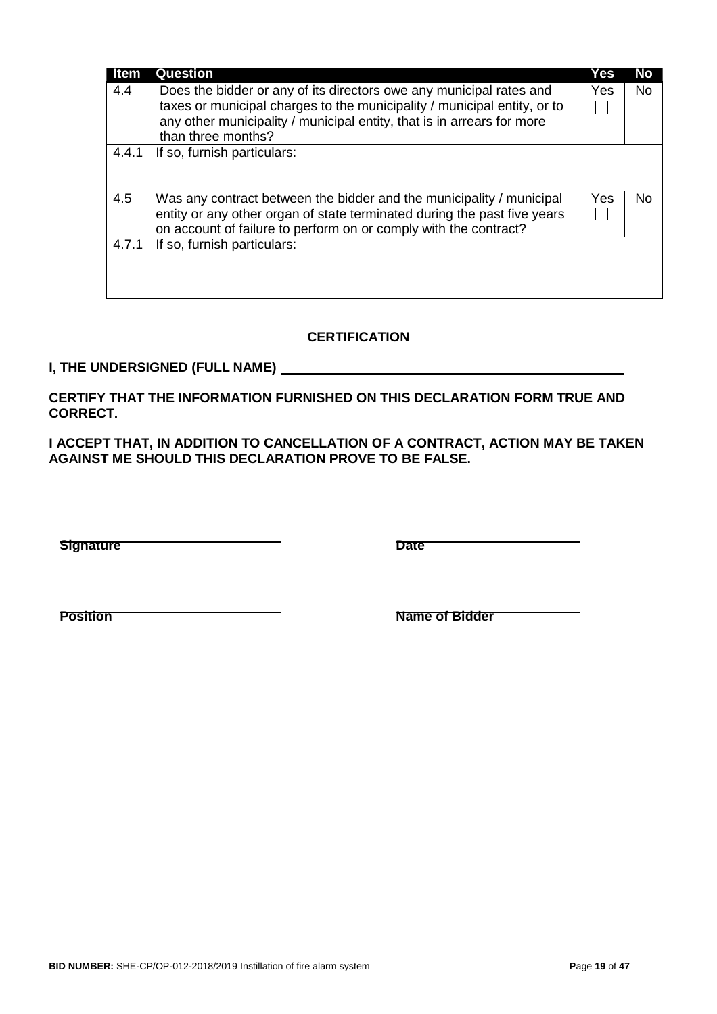| ltem  | Question                                                                 | Yes        | No        |
|-------|--------------------------------------------------------------------------|------------|-----------|
| 4.4   | Does the bidder or any of its directors owe any municipal rates and      | <b>Yes</b> | <b>No</b> |
|       | taxes or municipal charges to the municipality / municipal entity, or to |            |           |
|       | any other municipality / municipal entity, that is in arrears for more   |            |           |
|       | than three months?                                                       |            |           |
| 4.4.1 | If so, furnish particulars:                                              |            |           |
|       |                                                                          |            |           |
| 4.5   | Was any contract between the bidder and the municipality / municipal     | Yes        | No        |
|       | entity or any other organ of state terminated during the past five years |            |           |
|       | on account of failure to perform on or comply with the contract?         |            |           |
| 4.7.1 | If so, furnish particulars:                                              |            |           |
|       |                                                                          |            |           |
|       |                                                                          |            |           |
|       |                                                                          |            |           |

# **CERTIFICATION**

# **I, THE UNDERSIGNED (FULL NAME)**

**CERTIFY THAT THE INFORMATION FURNISHED ON THIS DECLARATION FORM TRUE AND CORRECT.**

**I ACCEPT THAT, IN ADDITION TO CANCELLATION OF A CONTRACT, ACTION MAY BE TAKEN AGAINST ME SHOULD THIS DECLARATION PROVE TO BE FALSE.**

**Signature Date**

**Position Name of Bidder**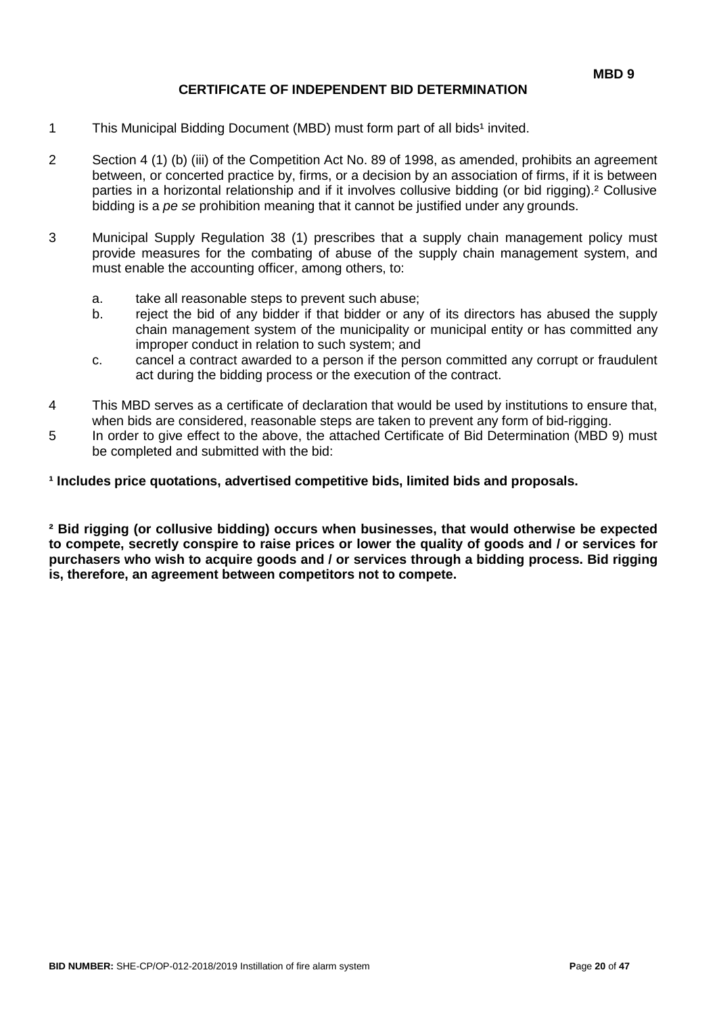#### **CERTIFICATE OF INDEPENDENT BID DETERMINATION**

- 1 This Municipal Bidding Document (MBD) must form part of all bids<sup>1</sup> invited.
- 2 Section 4 (1) (b) (iii) of the Competition Act No. 89 of 1998, as amended, prohibits an agreement between, or concerted practice by, firms, or a decision by an association of firms, if it is between parties in a horizontal relationship and if it involves collusive bidding (or bid rigging).² Collusive bidding is a *pe se* prohibition meaning that it cannot be justified under any grounds.
- 3 Municipal Supply Regulation 38 (1) prescribes that a supply chain management policy must provide measures for the combating of abuse of the supply chain management system, and must enable the accounting officer, among others, to:
	- a. take all reasonable steps to prevent such abuse;
	- b. reject the bid of any bidder if that bidder or any of its directors has abused the supply chain management system of the municipality or municipal entity or has committed any improper conduct in relation to such system; and
	- c. cancel a contract awarded to a person if the person committed any corrupt or fraudulent act during the bidding process or the execution of the contract.
- 4 This MBD serves as a certificate of declaration that would be used by institutions to ensure that, when bids are considered, reasonable steps are taken to prevent any form of bid-rigging.
- 5 In order to give effect to the above, the attached Certificate of Bid Determination (MBD 9) must be completed and submitted with the bid:

#### <sup>1</sup> Includes price quotations, advertised competitive bids, limited bids and proposals.

**² Bid rigging (or collusive bidding) occurs when businesses, that would otherwise be expected to compete, secretly conspire to raise prices or lower the quality of goods and / or services for purchasers who wish to acquire goods and / or services through a bidding process. Bid rigging is, therefore, an agreement between competitors not to compete.**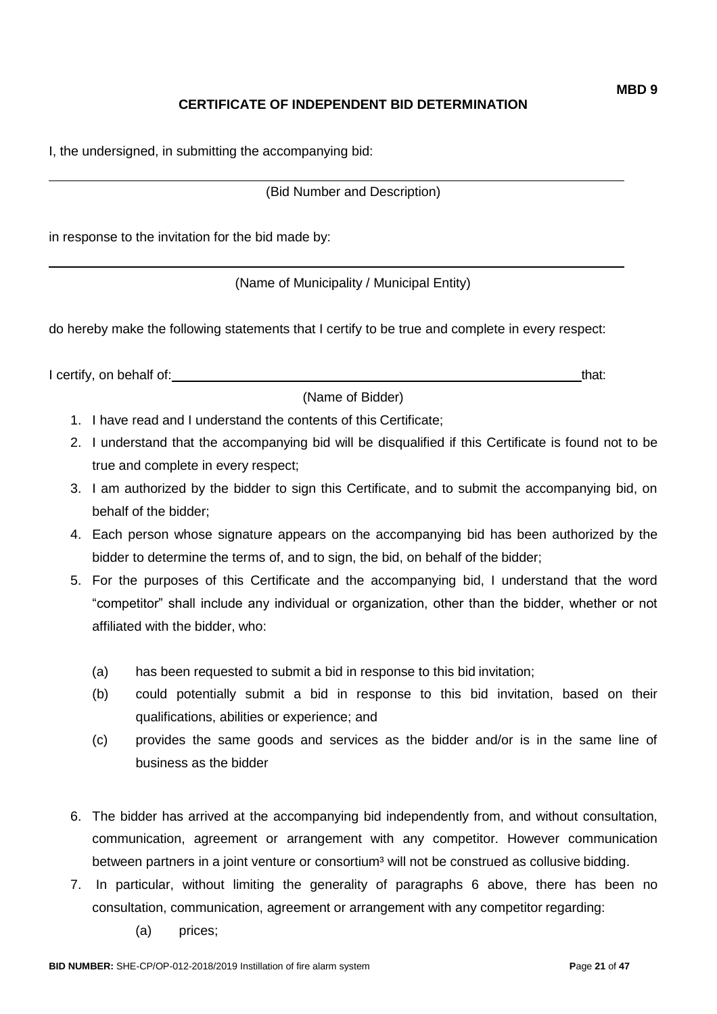# **CERTIFICATE OF INDEPENDENT BID DETERMINATION**

I, the undersigned, in submitting the accompanying bid:

(Bid Number and Description)

in response to the invitation for the bid made by:

(Name of Municipality / Municipal Entity)

do hereby make the following statements that I certify to be true and complete in every respect:

I certify, on behalf of: that: that: that: that: that: that: that: that: that: that: that: that: that: that: that: that: that: that: that: that: that: that: that: that: that: that: that: that: that: that: that: that: that:

(Name of Bidder)

- 1. I have read and I understand the contents of this Certificate;
- 2. I understand that the accompanying bid will be disqualified if this Certificate is found not to be true and complete in every respect;
- 3. I am authorized by the bidder to sign this Certificate, and to submit the accompanying bid, on behalf of the bidder;
- 4. Each person whose signature appears on the accompanying bid has been authorized by the bidder to determine the terms of, and to sign, the bid, on behalf of the bidder;
- 5. For the purposes of this Certificate and the accompanying bid, I understand that the word "competitor" shall include any individual or organization, other than the bidder, whether or not affiliated with the bidder, who:
	- (a) has been requested to submit a bid in response to this bid invitation;
	- (b) could potentially submit a bid in response to this bid invitation, based on their qualifications, abilities or experience; and
	- (c) provides the same goods and services as the bidder and/or is in the same line of business as the bidder
- 6. The bidder has arrived at the accompanying bid independently from, and without consultation, communication, agreement or arrangement with any competitor. However communication between partners in a joint venture or consortium<sup>3</sup> will not be construed as collusive bidding.
- 7. In particular, without limiting the generality of paragraphs 6 above, there has been no consultation, communication, agreement or arrangement with any competitor regarding:
	- (a) prices;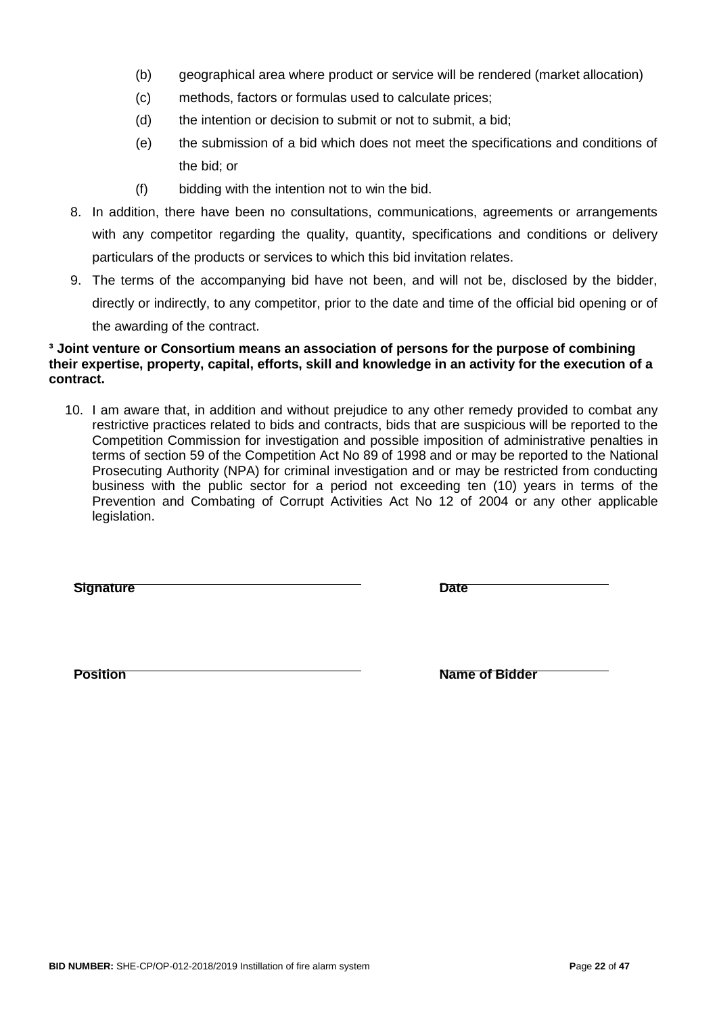- (b) geographical area where product or service will be rendered (market allocation)
- (c) methods, factors or formulas used to calculate prices;
- (d) the intention or decision to submit or not to submit, a bid;
- (e) the submission of a bid which does not meet the specifications and conditions of the bid; or
- (f) bidding with the intention not to win the bid.
- 8. In addition, there have been no consultations, communications, agreements or arrangements with any competitor regarding the quality, quantity, specifications and conditions or delivery particulars of the products or services to which this bid invitation relates.
- 9. The terms of the accompanying bid have not been, and will not be, disclosed by the bidder, directly or indirectly, to any competitor, prior to the date and time of the official bid opening or of the awarding of the contract.

#### **³ Joint venture or Consortium means an association of persons for the purpose of combining their expertise, property, capital, efforts, skill and knowledge in an activity for the execution of a contract.**

10. I am aware that, in addition and without prejudice to any other remedy provided to combat any restrictive practices related to bids and contracts, bids that are suspicious will be reported to the Competition Commission for investigation and possible imposition of administrative penalties in terms of section 59 of the Competition Act No 89 of 1998 and or may be reported to the National Prosecuting Authority (NPA) for criminal investigation and or may be restricted from conducting business with the public sector for a period not exceeding ten (10) years in terms of the Prevention and Combating of Corrupt Activities Act No 12 of 2004 or any other applicable legislation.

**Signature Date**

**Position Name of Bidder**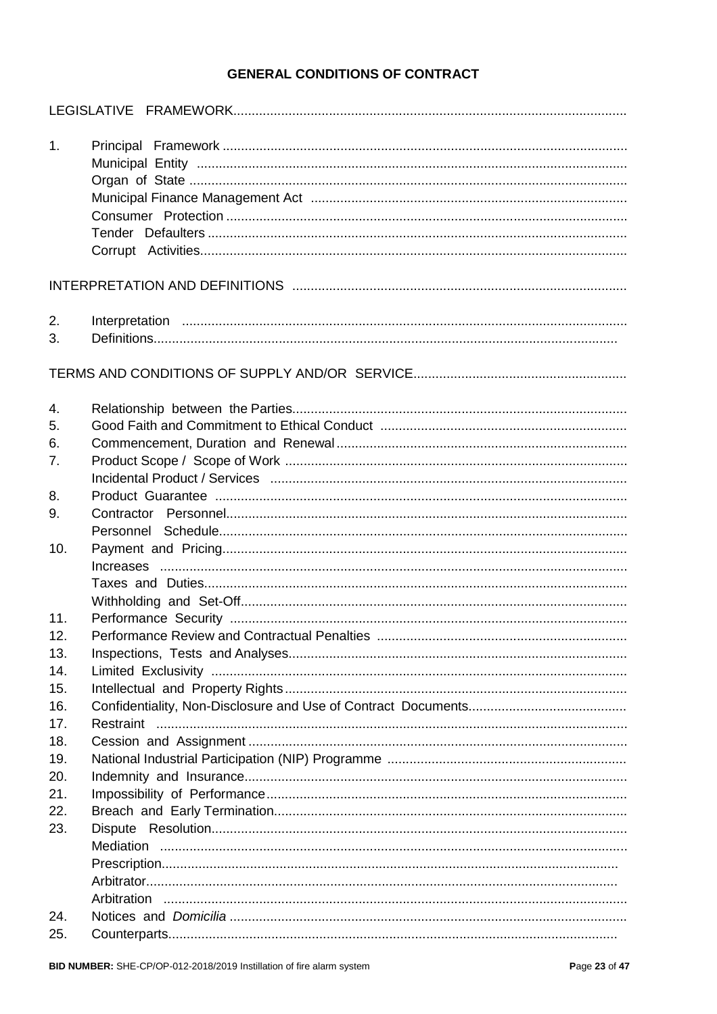# **GENERAL CONDITIONS OF CONTRACT**

| 1.             |           |
|----------------|-----------|
|                |           |
| 2.<br>3.       |           |
|                |           |
| 4.<br>5.<br>6. |           |
| 7.             |           |
| 8.<br>9.       |           |
| 10.            |           |
| 11.            |           |
| 12.<br>13.     |           |
| 14.<br>15.     |           |
| 16.<br>17.     | Restraint |
| 18.            |           |
| 19.            |           |
| 20.            |           |
| 21.            |           |
| 22.            |           |
| 23.            |           |
|                |           |
|                |           |
|                |           |
| 24.            |           |
| 25.            |           |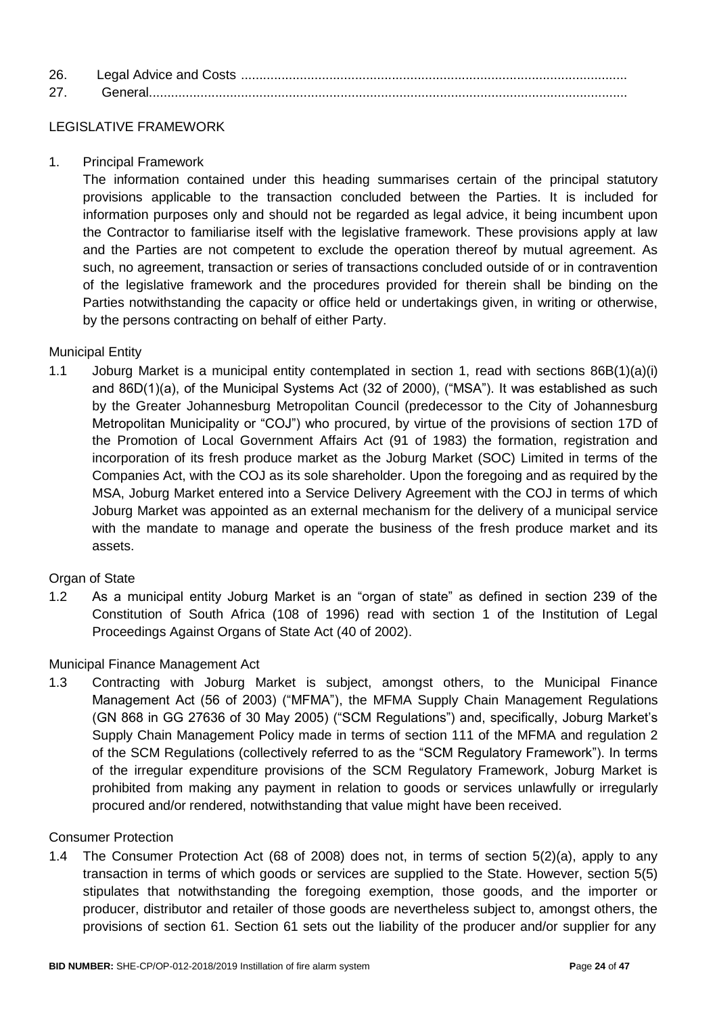| 26 |  |
|----|--|
| 27 |  |

## LEGISLATIVE FRAMEWORK

1. Principal Framework

The information contained under this heading summarises certain of the principal statutory provisions applicable to the transaction concluded between the Parties. It is included for information purposes only and should not be regarded as legal advice, it being incumbent upon the Contractor to familiarise itself with the legislative framework. These provisions apply at law and the Parties are not competent to exclude the operation thereof by mutual agreement. As such, no agreement, transaction or series of transactions concluded outside of or in contravention of the legislative framework and the procedures provided for therein shall be binding on the Parties notwithstanding the capacity or office held or undertakings given, in writing or otherwise, by the persons contracting on behalf of either Party.

#### Municipal Entity

1.1 Joburg Market is a municipal entity contemplated in section 1, read with sections 86B(1)(a)(i) and 86D(1)(a), of the Municipal Systems Act (32 of 2000), ("MSA"). It was established as such by the Greater Johannesburg Metropolitan Council (predecessor to the City of Johannesburg Metropolitan Municipality or "COJ") who procured, by virtue of the provisions of section 17D of the Promotion of Local Government Affairs Act (91 of 1983) the formation, registration and incorporation of its fresh produce market as the Joburg Market (SOC) Limited in terms of the Companies Act, with the COJ as its sole shareholder. Upon the foregoing and as required by the MSA, Joburg Market entered into a Service Delivery Agreement with the COJ in terms of which Joburg Market was appointed as an external mechanism for the delivery of a municipal service with the mandate to manage and operate the business of the fresh produce market and its assets.

#### Organ of State

1.2 As a municipal entity Joburg Market is an "organ of state" as defined in section 239 of the Constitution of South Africa (108 of 1996) read with section 1 of the Institution of Legal Proceedings Against Organs of State Act (40 of 2002).

#### Municipal Finance Management Act

1.3 Contracting with Joburg Market is subject, amongst others, to the Municipal Finance Management Act (56 of 2003) ("MFMA"), the MFMA Supply Chain Management Regulations (GN 868 in GG 27636 of 30 May 2005) ("SCM Regulations") and, specifically, Joburg Market's Supply Chain Management Policy made in terms of section 111 of the MFMA and regulation 2 of the SCM Regulations (collectively referred to as the "SCM Regulatory Framework"). In terms of the irregular expenditure provisions of the SCM Regulatory Framework, Joburg Market is prohibited from making any payment in relation to goods or services unlawfully or irregularly procured and/or rendered, notwithstanding that value might have been received.

#### Consumer Protection

1.4 The Consumer Protection Act (68 of 2008) does not, in terms of section 5(2)(a), apply to any transaction in terms of which goods or services are supplied to the State. However, section 5(5) stipulates that notwithstanding the foregoing exemption, those goods, and the importer or producer, distributor and retailer of those goods are nevertheless subject to, amongst others, the provisions of section 61. Section 61 sets out the liability of the producer and/or supplier for any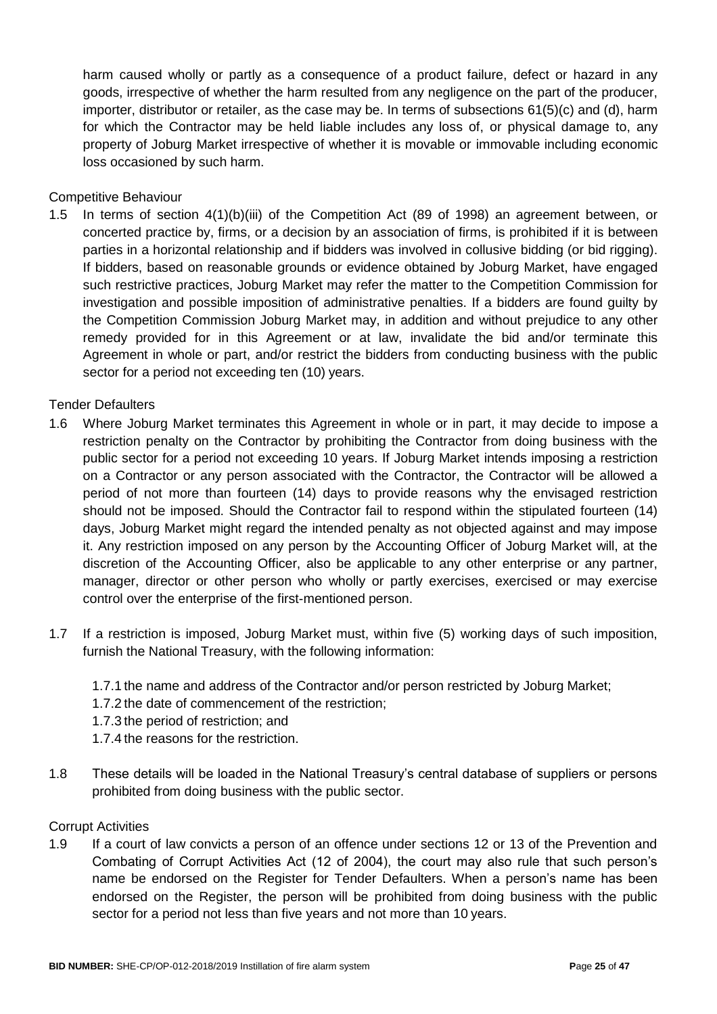harm caused wholly or partly as a consequence of a product failure, defect or hazard in any goods, irrespective of whether the harm resulted from any negligence on the part of the producer, importer, distributor or retailer, as the case may be. In terms of subsections 61(5)(c) and (d), harm for which the Contractor may be held liable includes any loss of, or physical damage to, any property of Joburg Market irrespective of whether it is movable or immovable including economic loss occasioned by such harm.

Competitive Behaviour

1.5 In terms of section 4(1)(b)(iii) of the Competition Act (89 of 1998) an agreement between, or concerted practice by, firms, or a decision by an association of firms, is prohibited if it is between parties in a horizontal relationship and if bidders was involved in collusive bidding (or bid rigging). If bidders, based on reasonable grounds or evidence obtained by Joburg Market, have engaged such restrictive practices, Joburg Market may refer the matter to the Competition Commission for investigation and possible imposition of administrative penalties. If a bidders are found guilty by the Competition Commission Joburg Market may, in addition and without prejudice to any other remedy provided for in this Agreement or at law, invalidate the bid and/or terminate this Agreement in whole or part, and/or restrict the bidders from conducting business with the public sector for a period not exceeding ten (10) years.

#### Tender Defaulters

- 1.6 Where Joburg Market terminates this Agreement in whole or in part, it may decide to impose a restriction penalty on the Contractor by prohibiting the Contractor from doing business with the public sector for a period not exceeding 10 years. If Joburg Market intends imposing a restriction on a Contractor or any person associated with the Contractor, the Contractor will be allowed a period of not more than fourteen (14) days to provide reasons why the envisaged restriction should not be imposed. Should the Contractor fail to respond within the stipulated fourteen (14) days, Joburg Market might regard the intended penalty as not objected against and may impose it. Any restriction imposed on any person by the Accounting Officer of Joburg Market will, at the discretion of the Accounting Officer, also be applicable to any other enterprise or any partner, manager, director or other person who wholly or partly exercises, exercised or may exercise control over the enterprise of the first-mentioned person.
- 1.7 If a restriction is imposed, Joburg Market must, within five (5) working days of such imposition, furnish the National Treasury, with the following information:
	- 1.7.1 the name and address of the Contractor and/or person restricted by Joburg Market;
	- 1.7.2 the date of commencement of the restriction;
	- 1.7.3 the period of restriction; and
	- 1.7.4 the reasons for the restriction.
- 1.8 These details will be loaded in the National Treasury's central database of suppliers or persons prohibited from doing business with the public sector.

#### Corrupt Activities

1.9 If a court of law convicts a person of an offence under sections 12 or 13 of the Prevention and Combating of Corrupt Activities Act (12 of 2004), the court may also rule that such person's name be endorsed on the Register for Tender Defaulters. When a person's name has been endorsed on the Register, the person will be prohibited from doing business with the public sector for a period not less than five years and not more than 10 years.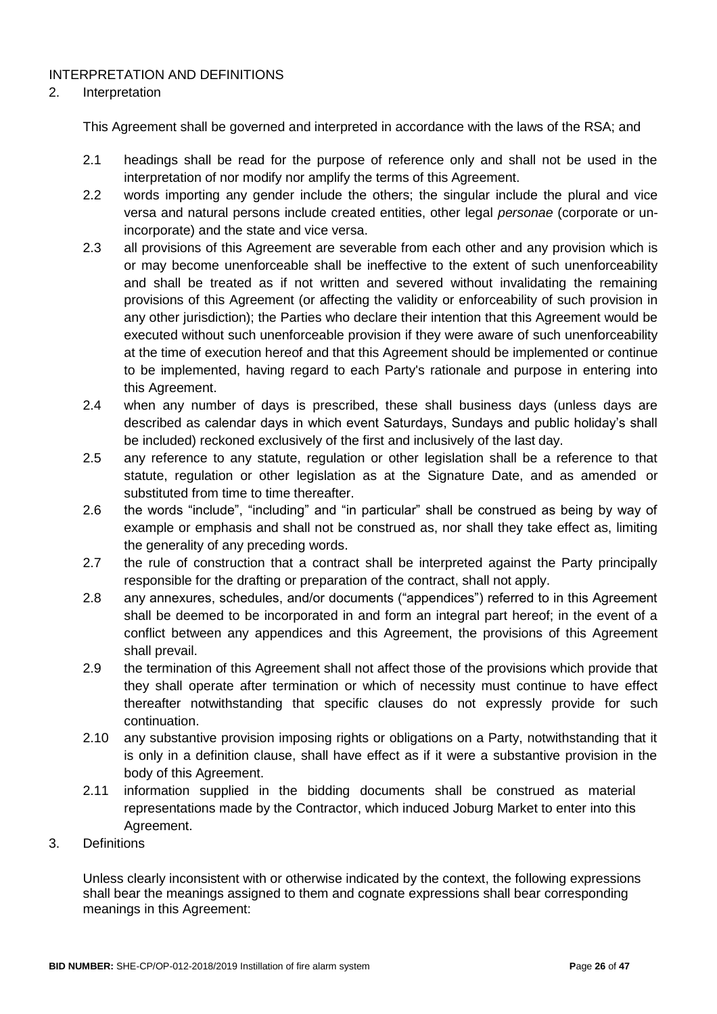#### INTERPRETATION AND DEFINITIONS

#### 2. Interpretation

This Agreement shall be governed and interpreted in accordance with the laws of the RSA; and

- 2.1 headings shall be read for the purpose of reference only and shall not be used in the interpretation of nor modify nor amplify the terms of this Agreement.
- 2.2 words importing any gender include the others; the singular include the plural and vice versa and natural persons include created entities, other legal *personae* (corporate or unincorporate) and the state and vice versa.
- 2.3 all provisions of this Agreement are severable from each other and any provision which is or may become unenforceable shall be ineffective to the extent of such unenforceability and shall be treated as if not written and severed without invalidating the remaining provisions of this Agreement (or affecting the validity or enforceability of such provision in any other jurisdiction); the Parties who declare their intention that this Agreement would be executed without such unenforceable provision if they were aware of such unenforceability at the time of execution hereof and that this Agreement should be implemented or continue to be implemented, having regard to each Party's rationale and purpose in entering into this Agreement.
- 2.4 when any number of days is prescribed, these shall business days (unless days are described as calendar days in which event Saturdays, Sundays and public holiday's shall be included) reckoned exclusively of the first and inclusively of the last day.
- 2.5 any reference to any statute, regulation or other legislation shall be a reference to that statute, regulation or other legislation as at the Signature Date, and as amended or substituted from time to time thereafter.
- 2.6 the words "include", "including" and "in particular" shall be construed as being by way of example or emphasis and shall not be construed as, nor shall they take effect as, limiting the generality of any preceding words.
- 2.7 the rule of construction that a contract shall be interpreted against the Party principally responsible for the drafting or preparation of the contract, shall not apply.
- 2.8 any annexures, schedules, and/or documents ("appendices") referred to in this Agreement shall be deemed to be incorporated in and form an integral part hereof; in the event of a conflict between any appendices and this Agreement, the provisions of this Agreement shall prevail.
- 2.9 the termination of this Agreement shall not affect those of the provisions which provide that they shall operate after termination or which of necessity must continue to have effect thereafter notwithstanding that specific clauses do not expressly provide for such continuation.
- 2.10 any substantive provision imposing rights or obligations on a Party, notwithstanding that it is only in a definition clause, shall have effect as if it were a substantive provision in the body of this Agreement.
- 2.11 information supplied in the bidding documents shall be construed as material representations made by the Contractor, which induced Joburg Market to enter into this Agreement.
- 3. Definitions

Unless clearly inconsistent with or otherwise indicated by the context, the following expressions shall bear the meanings assigned to them and cognate expressions shall bear corresponding meanings in this Agreement: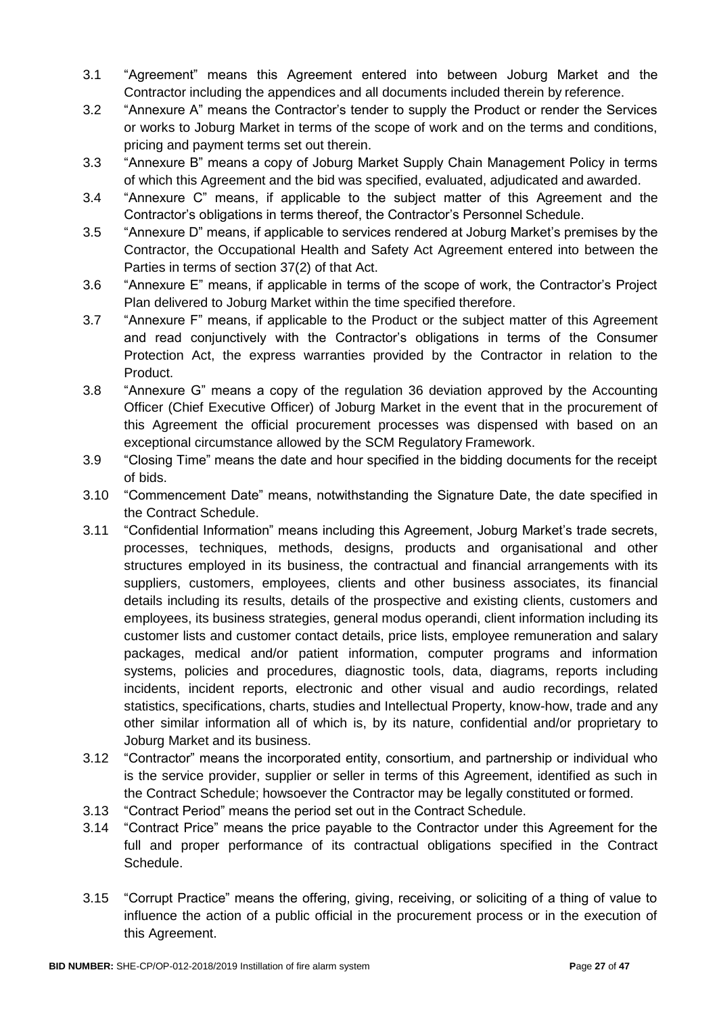- 3.1 "Agreement" means this Agreement entered into between Joburg Market and the Contractor including the appendices and all documents included therein by reference.
- 3.2 "Annexure A" means the Contractor's tender to supply the Product or render the Services or works to Joburg Market in terms of the scope of work and on the terms and conditions, pricing and payment terms set out therein.
- 3.3 "Annexure B" means a copy of Joburg Market Supply Chain Management Policy in terms of which this Agreement and the bid was specified, evaluated, adjudicated and awarded.
- 3.4 "Annexure C" means, if applicable to the subject matter of this Agreement and the Contractor's obligations in terms thereof, the Contractor's Personnel Schedule.
- 3.5 "Annexure D" means, if applicable to services rendered at Joburg Market's premises by the Contractor, the Occupational Health and Safety Act Agreement entered into between the Parties in terms of section 37(2) of that Act.
- 3.6 "Annexure E" means, if applicable in terms of the scope of work, the Contractor's Project Plan delivered to Joburg Market within the time specified therefore.
- 3.7 "Annexure F" means, if applicable to the Product or the subject matter of this Agreement and read conjunctively with the Contractor's obligations in terms of the Consumer Protection Act, the express warranties provided by the Contractor in relation to the Product.
- 3.8 "Annexure G" means a copy of the regulation 36 deviation approved by the Accounting Officer (Chief Executive Officer) of Joburg Market in the event that in the procurement of this Agreement the official procurement processes was dispensed with based on an exceptional circumstance allowed by the SCM Regulatory Framework.
- 3.9 "Closing Time" means the date and hour specified in the bidding documents for the receipt of bids.
- 3.10 "Commencement Date" means, notwithstanding the Signature Date, the date specified in the Contract Schedule.
- 3.11 "Confidential Information" means including this Agreement, Joburg Market's trade secrets, processes, techniques, methods, designs, products and organisational and other structures employed in its business, the contractual and financial arrangements with its suppliers, customers, employees, clients and other business associates, its financial details including its results, details of the prospective and existing clients, customers and employees, its business strategies, general modus operandi, client information including its customer lists and customer contact details, price lists, employee remuneration and salary packages, medical and/or patient information, computer programs and information systems, policies and procedures, diagnostic tools, data, diagrams, reports including incidents, incident reports, electronic and other visual and audio recordings, related statistics, specifications, charts, studies and Intellectual Property, know-how, trade and any other similar information all of which is, by its nature, confidential and/or proprietary to Joburg Market and its business.
- 3.12 "Contractor" means the incorporated entity, consortium, and partnership or individual who is the service provider, supplier or seller in terms of this Agreement, identified as such in the Contract Schedule; howsoever the Contractor may be legally constituted or formed.
- 3.13 "Contract Period" means the period set out in the Contract Schedule.
- 3.14 "Contract Price" means the price payable to the Contractor under this Agreement for the full and proper performance of its contractual obligations specified in the Contract Schedule.
- 3.15 "Corrupt Practice" means the offering, giving, receiving, or soliciting of a thing of value to influence the action of a public official in the procurement process or in the execution of this Agreement.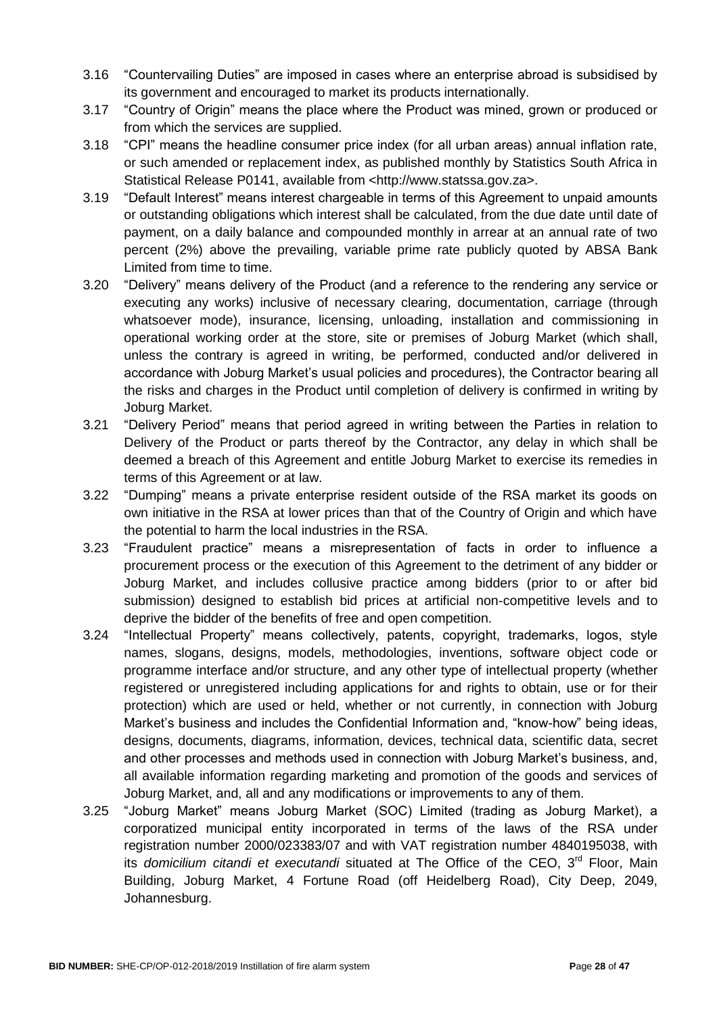- 3.16 "Countervailing Duties" are imposed in cases where an enterprise abroad is subsidised by its government and encouraged to market its products internationally.
- 3.17 "Country of Origin" means the place where the Product was mined, grown or produced or from which the services are supplied.
- 3.18 "CPI" means the headline consumer price index (for all urban areas) annual inflation rate, or such amended or replacement index, as published monthly by Statistics South Africa in Statistical Release P0141, available from [<http://www.statssa.gov.za>.](http://www.statssa.gov.za/)
- 3.19 "Default Interest" means interest chargeable in terms of this Agreement to unpaid amounts or outstanding obligations which interest shall be calculated, from the due date until date of payment, on a daily balance and compounded monthly in arrear at an annual rate of two percent (2%) above the prevailing, variable prime rate publicly quoted by ABSA Bank Limited from time to time.
- 3.20 "Delivery" means delivery of the Product (and a reference to the rendering any service or executing any works) inclusive of necessary clearing, documentation, carriage (through whatsoever mode), insurance, licensing, unloading, installation and commissioning in operational working order at the store, site or premises of Joburg Market (which shall, unless the contrary is agreed in writing, be performed, conducted and/or delivered in accordance with Joburg Market's usual policies and procedures), the Contractor bearing all the risks and charges in the Product until completion of delivery is confirmed in writing by Joburg Market.
- 3.21 "Delivery Period" means that period agreed in writing between the Parties in relation to Delivery of the Product or parts thereof by the Contractor, any delay in which shall be deemed a breach of this Agreement and entitle Joburg Market to exercise its remedies in terms of this Agreement or at law.
- 3.22 "Dumping" means a private enterprise resident outside of the RSA market its goods on own initiative in the RSA at lower prices than that of the Country of Origin and which have the potential to harm the local industries in the RSA.
- 3.23 "Fraudulent practice" means a misrepresentation of facts in order to influence a procurement process or the execution of this Agreement to the detriment of any bidder or Joburg Market, and includes collusive practice among bidders (prior to or after bid submission) designed to establish bid prices at artificial non-competitive levels and to deprive the bidder of the benefits of free and open competition.
- 3.24 "Intellectual Property" means collectively, patents, copyright, trademarks, logos, style names, slogans, designs, models, methodologies, inventions, software object code or programme interface and/or structure, and any other type of intellectual property (whether registered or unregistered including applications for and rights to obtain, use or for their protection) which are used or held, whether or not currently, in connection with Joburg Market's business and includes the Confidential Information and, "know-how" being ideas, designs, documents, diagrams, information, devices, technical data, scientific data, secret and other processes and methods used in connection with Joburg Market's business, and, all available information regarding marketing and promotion of the goods and services of Joburg Market, and, all and any modifications or improvements to any of them.
- 3.25 "Joburg Market" means Joburg Market (SOC) Limited (trading as Joburg Market), a corporatized municipal entity incorporated in terms of the laws of the RSA under registration number 2000/023383/07 and with VAT registration number 4840195038, with its *domicilium citandi et executandi* situated at The Office of the CEO, 3<sup>rd</sup> Floor, Main Building, Joburg Market, 4 Fortune Road (off Heidelberg Road), City Deep, 2049, Johannesburg.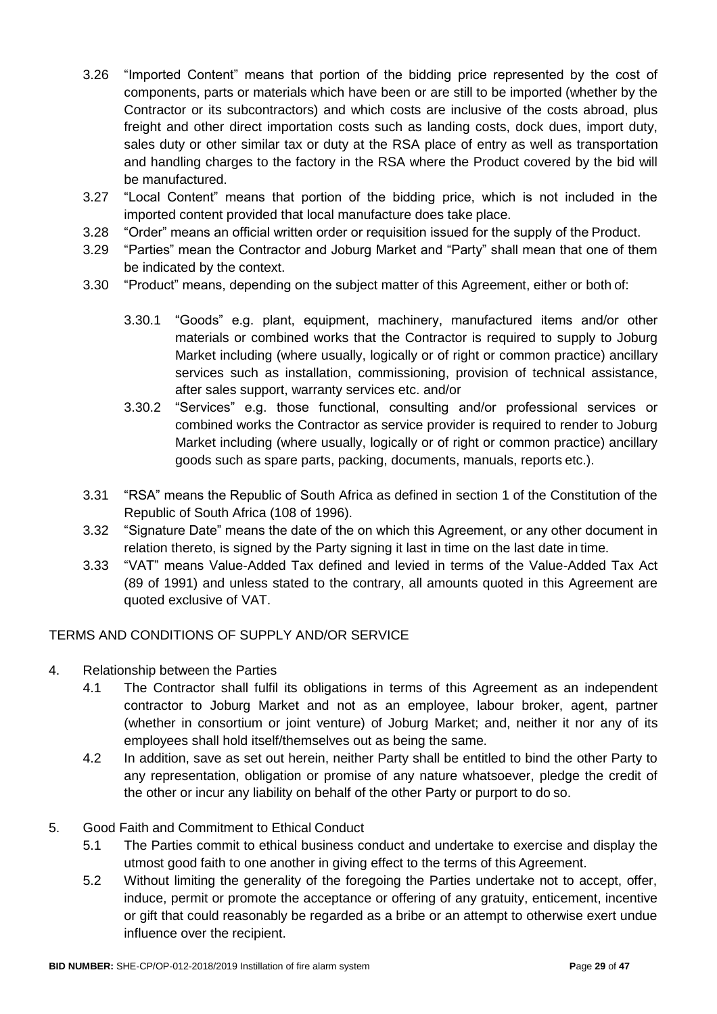- 3.26 "Imported Content" means that portion of the bidding price represented by the cost of components, parts or materials which have been or are still to be imported (whether by the Contractor or its subcontractors) and which costs are inclusive of the costs abroad, plus freight and other direct importation costs such as landing costs, dock dues, import duty, sales duty or other similar tax or duty at the RSA place of entry as well as transportation and handling charges to the factory in the RSA where the Product covered by the bid will be manufactured.
- 3.27 "Local Content" means that portion of the bidding price, which is not included in the imported content provided that local manufacture does take place.
- 3.28 "Order" means an official written order or requisition issued for the supply of the Product.
- 3.29 "Parties" mean the Contractor and Joburg Market and "Party" shall mean that one of them be indicated by the context.
- 3.30 "Product" means, depending on the subject matter of this Agreement, either or both of:
	- 3.30.1 "Goods" e.g. plant, equipment, machinery, manufactured items and/or other materials or combined works that the Contractor is required to supply to Joburg Market including (where usually, logically or of right or common practice) ancillary services such as installation, commissioning, provision of technical assistance, after sales support, warranty services etc. and/or
	- 3.30.2 "Services" e.g. those functional, consulting and/or professional services or combined works the Contractor as service provider is required to render to Joburg Market including (where usually, logically or of right or common practice) ancillary goods such as spare parts, packing, documents, manuals, reports etc.).
- 3.31 "RSA" means the Republic of South Africa as defined in section 1 of the Constitution of the Republic of South Africa (108 of 1996).
- 3.32 "Signature Date" means the date of the on which this Agreement, or any other document in relation thereto, is signed by the Party signing it last in time on the last date in time.
- 3.33 "VAT" means Value-Added Tax defined and levied in terms of the Value-Added Tax Act (89 of 1991) and unless stated to the contrary, all amounts quoted in this Agreement are quoted exclusive of VAT.

# TERMS AND CONDITIONS OF SUPPLY AND/OR SERVICE

- 4. Relationship between the Parties
	- 4.1 The Contractor shall fulfil its obligations in terms of this Agreement as an independent contractor to Joburg Market and not as an employee, labour broker, agent, partner (whether in consortium or joint venture) of Joburg Market; and, neither it nor any of its employees shall hold itself/themselves out as being the same.
	- 4.2 In addition, save as set out herein, neither Party shall be entitled to bind the other Party to any representation, obligation or promise of any nature whatsoever, pledge the credit of the other or incur any liability on behalf of the other Party or purport to do so.

#### 5. Good Faith and Commitment to Ethical Conduct

- 5.1 The Parties commit to ethical business conduct and undertake to exercise and display the utmost good faith to one another in giving effect to the terms of this Agreement.
- 5.2 Without limiting the generality of the foregoing the Parties undertake not to accept, offer, induce, permit or promote the acceptance or offering of any gratuity, enticement, incentive or gift that could reasonably be regarded as a bribe or an attempt to otherwise exert undue influence over the recipient.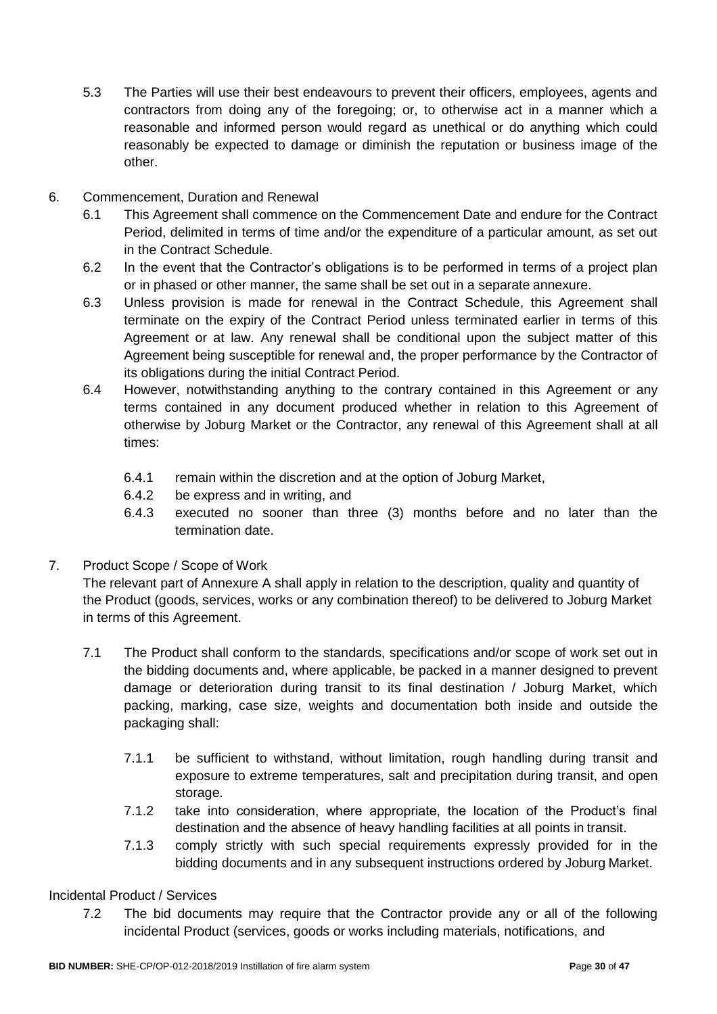- 5.3 The Parties will use their best endeavours to prevent their officers, employees, agents and contractors from doing any of the foregoing; or, to otherwise act in a manner which a reasonable and informed person would regard as unethical or do anything which could reasonably be expected to damage or diminish the reputation or business image of the other.
- 6. Commencement, Duration and Renewal
	- 6.1 This Agreement shall commence on the Commencement Date and endure for the Contract Period, delimited in terms of time and/or the expenditure of a particular amount, as set out in the Contract Schedule.
	- 6.2 In the event that the Contractor's obligations is to be performed in terms of a project plan or in phased or other manner, the same shall be set out in a separate annexure.
	- 6.3 Unless provision is made for renewal in the Contract Schedule, this Agreement shall terminate on the expiry of the Contract Period unless terminated earlier in terms of this Agreement or at law. Any renewal shall be conditional upon the subject matter of this Agreement being susceptible for renewal and, the proper performance by the Contractor of its obligations during the initial Contract Period.
	- 6.4 However, notwithstanding anything to the contrary contained in this Agreement or any terms contained in any document produced whether in relation to this Agreement of otherwise by Joburg Market or the Contractor, any renewal of this Agreement shall at all times:
		- 6.4.1 remain within the discretion and at the option of Joburg Market,
		- 6.4.2 be express and in writing, and
		- 6.4.3 executed no sooner than three (3) months before and no later than the termination date.
- 7. Product Scope / Scope of Work

The relevant part of Annexure A shall apply in relation to the description, quality and quantity of the Product (goods, services, works or any combination thereof) to be delivered to Joburg Market in terms of this Agreement.

- 7.1 The Product shall conform to the standards, specifications and/or scope of work set out in the bidding documents and, where applicable, be packed in a manner designed to prevent damage or deterioration during transit to its final destination / Joburg Market, which packing, marking, case size, weights and documentation both inside and outside the packaging shall:
	- 7.1.1 be sufficient to withstand, without limitation, rough handling during transit and exposure to extreme temperatures, salt and precipitation during transit, and open storage.
	- 7.1.2 take into consideration, where appropriate, the location of the Product's final destination and the absence of heavy handling facilities at all points in transit.
	- 7.1.3 comply strictly with such special requirements expressly provided for in the bidding documents and in any subsequent instructions ordered by Joburg Market.

# Incidental Product / Services

7.2 The bid documents may require that the Contractor provide any or all of the following incidental Product (services, goods or works including materials, notifications, and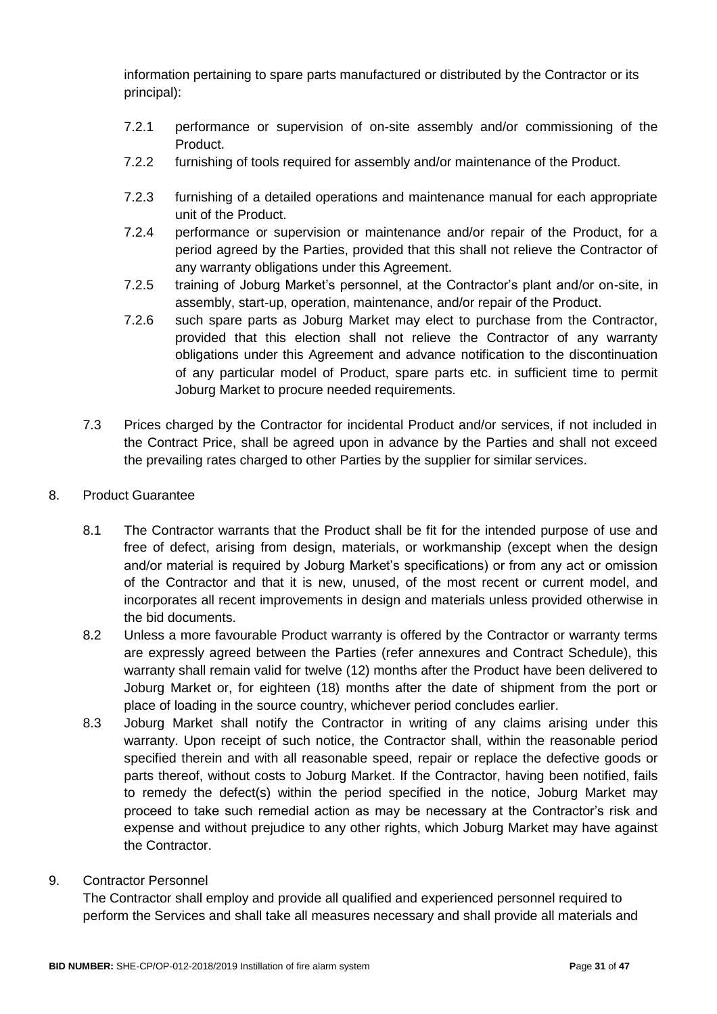information pertaining to spare parts manufactured or distributed by the Contractor or its principal):

- 7.2.1 performance or supervision of on-site assembly and/or commissioning of the Product.
- 7.2.2 furnishing of tools required for assembly and/or maintenance of the Product.
- 7.2.3 furnishing of a detailed operations and maintenance manual for each appropriate unit of the Product.
- 7.2.4 performance or supervision or maintenance and/or repair of the Product, for a period agreed by the Parties, provided that this shall not relieve the Contractor of any warranty obligations under this Agreement.
- 7.2.5 training of Joburg Market's personnel, at the Contractor's plant and/or on-site, in assembly, start-up, operation, maintenance, and/or repair of the Product.
- 7.2.6 such spare parts as Joburg Market may elect to purchase from the Contractor, provided that this election shall not relieve the Contractor of any warranty obligations under this Agreement and advance notification to the discontinuation of any particular model of Product, spare parts etc. in sufficient time to permit Joburg Market to procure needed requirements.
- 7.3 Prices charged by the Contractor for incidental Product and/or services, if not included in the Contract Price, shall be agreed upon in advance by the Parties and shall not exceed the prevailing rates charged to other Parties by the supplier for similar services.
- 8. Product Guarantee
	- 8.1 The Contractor warrants that the Product shall be fit for the intended purpose of use and free of defect, arising from design, materials, or workmanship (except when the design and/or material is required by Joburg Market's specifications) or from any act or omission of the Contractor and that it is new, unused, of the most recent or current model, and incorporates all recent improvements in design and materials unless provided otherwise in the bid documents.
	- 8.2 Unless a more favourable Product warranty is offered by the Contractor or warranty terms are expressly agreed between the Parties (refer annexures and Contract Schedule), this warranty shall remain valid for twelve (12) months after the Product have been delivered to Joburg Market or, for eighteen (18) months after the date of shipment from the port or place of loading in the source country, whichever period concludes earlier.
	- 8.3 Joburg Market shall notify the Contractor in writing of any claims arising under this warranty. Upon receipt of such notice, the Contractor shall, within the reasonable period specified therein and with all reasonable speed, repair or replace the defective goods or parts thereof, without costs to Joburg Market. If the Contractor, having been notified, fails to remedy the defect(s) within the period specified in the notice, Joburg Market may proceed to take such remedial action as may be necessary at the Contractor's risk and expense and without prejudice to any other rights, which Joburg Market may have against the Contractor.
- 9. Contractor Personnel

The Contractor shall employ and provide all qualified and experienced personnel required to perform the Services and shall take all measures necessary and shall provide all materials and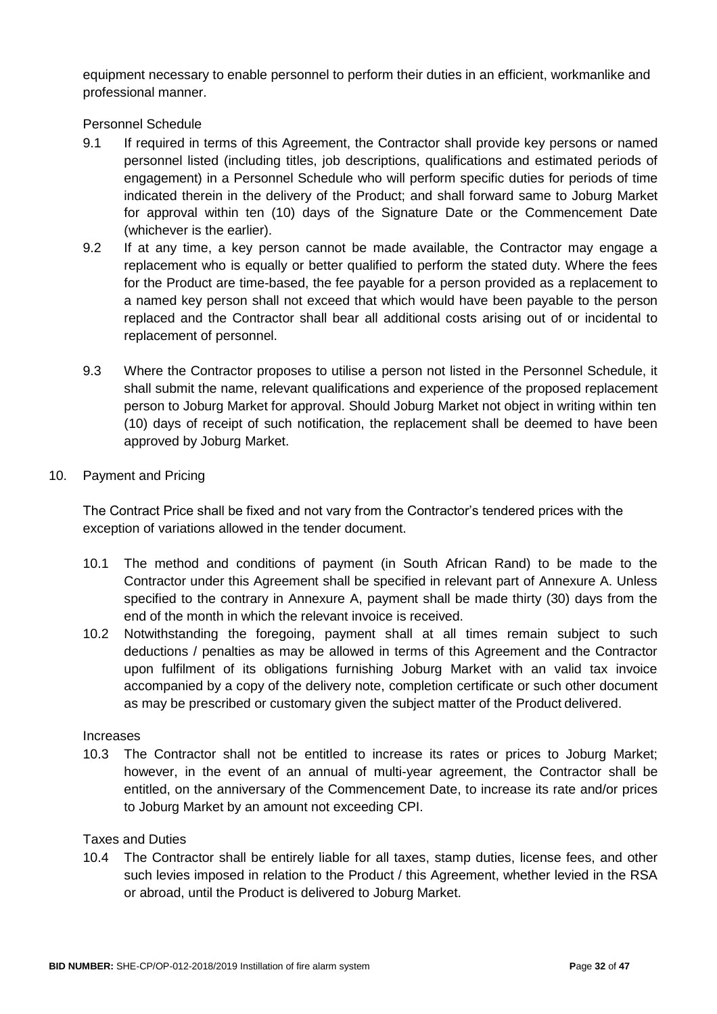equipment necessary to enable personnel to perform their duties in an efficient, workmanlike and professional manner.

#### Personnel Schedule

- 9.1 If required in terms of this Agreement, the Contractor shall provide key persons or named personnel listed (including titles, job descriptions, qualifications and estimated periods of engagement) in a Personnel Schedule who will perform specific duties for periods of time indicated therein in the delivery of the Product; and shall forward same to Joburg Market for approval within ten (10) days of the Signature Date or the Commencement Date (whichever is the earlier).
- 9.2 If at any time, a key person cannot be made available, the Contractor may engage a replacement who is equally or better qualified to perform the stated duty. Where the fees for the Product are time-based, the fee payable for a person provided as a replacement to a named key person shall not exceed that which would have been payable to the person replaced and the Contractor shall bear all additional costs arising out of or incidental to replacement of personnel.
- 9.3 Where the Contractor proposes to utilise a person not listed in the Personnel Schedule, it shall submit the name, relevant qualifications and experience of the proposed replacement person to Joburg Market for approval. Should Joburg Market not object in writing within ten (10) days of receipt of such notification, the replacement shall be deemed to have been approved by Joburg Market.

#### 10. Payment and Pricing

The Contract Price shall be fixed and not vary from the Contractor's tendered prices with the exception of variations allowed in the tender document.

- 10.1 The method and conditions of payment (in South African Rand) to be made to the Contractor under this Agreement shall be specified in relevant part of Annexure A. Unless specified to the contrary in Annexure A, payment shall be made thirty (30) days from the end of the month in which the relevant invoice is received.
- 10.2 Notwithstanding the foregoing, payment shall at all times remain subject to such deductions / penalties as may be allowed in terms of this Agreement and the Contractor upon fulfilment of its obligations furnishing Joburg Market with an valid tax invoice accompanied by a copy of the delivery note, completion certificate or such other document as may be prescribed or customary given the subject matter of the Product delivered.

#### Increases

10.3 The Contractor shall not be entitled to increase its rates or prices to Joburg Market; however, in the event of an annual of multi-year agreement, the Contractor shall be entitled, on the anniversary of the Commencement Date, to increase its rate and/or prices to Joburg Market by an amount not exceeding CPI.

#### Taxes and Duties

10.4 The Contractor shall be entirely liable for all taxes, stamp duties, license fees, and other such levies imposed in relation to the Product / this Agreement, whether levied in the RSA or abroad, until the Product is delivered to Joburg Market.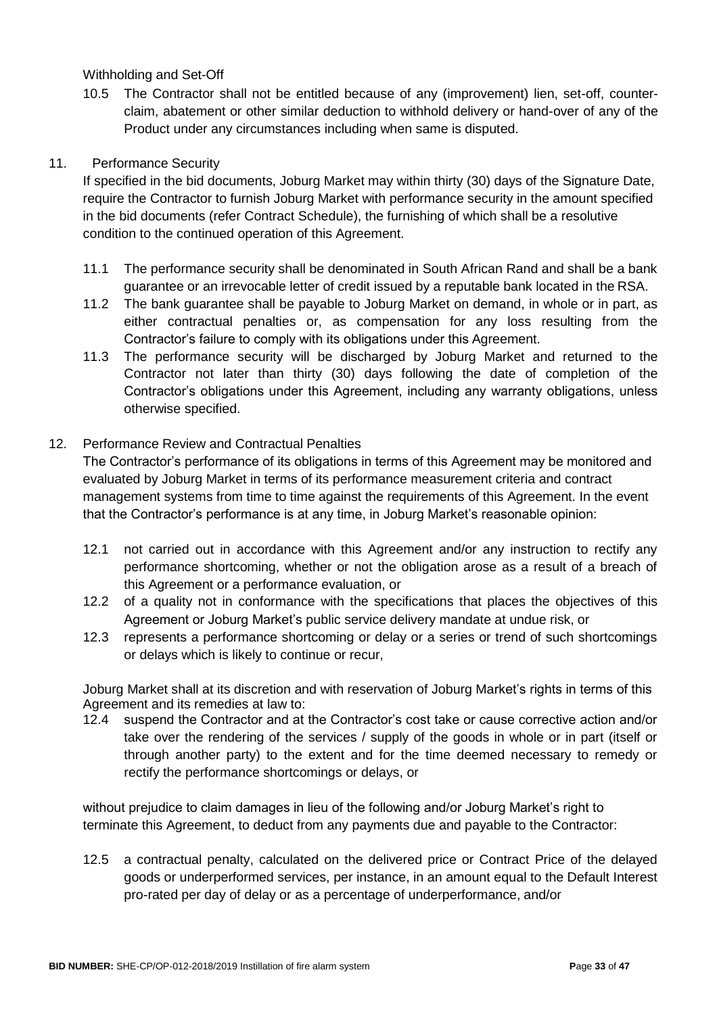Withholding and Set-Off

10.5 The Contractor shall not be entitled because of any (improvement) lien, set-off, counterclaim, abatement or other similar deduction to withhold delivery or hand-over of any of the Product under any circumstances including when same is disputed.

#### 11. Performance Security

If specified in the bid documents, Joburg Market may within thirty (30) days of the Signature Date, require the Contractor to furnish Joburg Market with performance security in the amount specified in the bid documents (refer Contract Schedule), the furnishing of which shall be a resolutive condition to the continued operation of this Agreement.

- 11.1 The performance security shall be denominated in South African Rand and shall be a bank guarantee or an irrevocable letter of credit issued by a reputable bank located in the RSA.
- 11.2 The bank guarantee shall be payable to Joburg Market on demand, in whole or in part, as either contractual penalties or, as compensation for any loss resulting from the Contractor's failure to comply with its obligations under this Agreement.
- 11.3 The performance security will be discharged by Joburg Market and returned to the Contractor not later than thirty (30) days following the date of completion of the Contractor's obligations under this Agreement, including any warranty obligations, unless otherwise specified.

#### 12. Performance Review and Contractual Penalties

The Contractor's performance of its obligations in terms of this Agreement may be monitored and evaluated by Joburg Market in terms of its performance measurement criteria and contract management systems from time to time against the requirements of this Agreement. In the event that the Contractor's performance is at any time, in Joburg Market's reasonable opinion:

- 12.1 not carried out in accordance with this Agreement and/or any instruction to rectify any performance shortcoming, whether or not the obligation arose as a result of a breach of this Agreement or a performance evaluation, or
- 12.2 of a quality not in conformance with the specifications that places the objectives of this Agreement or Joburg Market's public service delivery mandate at undue risk, or
- 12.3 represents a performance shortcoming or delay or a series or trend of such shortcomings or delays which is likely to continue or recur,

Joburg Market shall at its discretion and with reservation of Joburg Market's rights in terms of this Agreement and its remedies at law to:

12.4 suspend the Contractor and at the Contractor's cost take or cause corrective action and/or take over the rendering of the services / supply of the goods in whole or in part (itself or through another party) to the extent and for the time deemed necessary to remedy or rectify the performance shortcomings or delays, or

without prejudice to claim damages in lieu of the following and/or Joburg Market's right to terminate this Agreement, to deduct from any payments due and payable to the Contractor:

12.5 a contractual penalty, calculated on the delivered price or Contract Price of the delayed goods or underperformed services, per instance, in an amount equal to the Default Interest pro-rated per day of delay or as a percentage of underperformance, and/or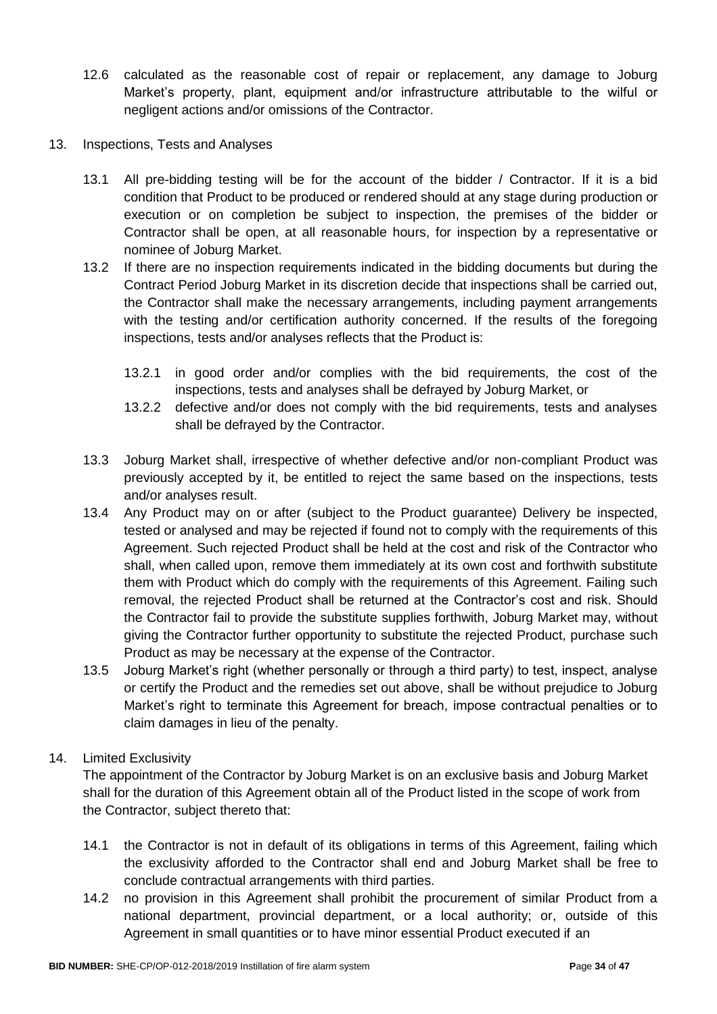- 12.6 calculated as the reasonable cost of repair or replacement, any damage to Joburg Market's property, plant, equipment and/or infrastructure attributable to the wilful or negligent actions and/or omissions of the Contractor.
- 13. Inspections, Tests and Analyses
	- 13.1 All pre-bidding testing will be for the account of the bidder / Contractor. If it is a bid condition that Product to be produced or rendered should at any stage during production or execution or on completion be subject to inspection, the premises of the bidder or Contractor shall be open, at all reasonable hours, for inspection by a representative or nominee of Joburg Market.
	- 13.2 If there are no inspection requirements indicated in the bidding documents but during the Contract Period Joburg Market in its discretion decide that inspections shall be carried out, the Contractor shall make the necessary arrangements, including payment arrangements with the testing and/or certification authority concerned. If the results of the foregoing inspections, tests and/or analyses reflects that the Product is:
		- 13.2.1 in good order and/or complies with the bid requirements, the cost of the inspections, tests and analyses shall be defrayed by Joburg Market, or
		- 13.2.2 defective and/or does not comply with the bid requirements, tests and analyses shall be defrayed by the Contractor.
	- 13.3 Joburg Market shall, irrespective of whether defective and/or non-compliant Product was previously accepted by it, be entitled to reject the same based on the inspections, tests and/or analyses result.
	- 13.4 Any Product may on or after (subject to the Product guarantee) Delivery be inspected, tested or analysed and may be rejected if found not to comply with the requirements of this Agreement. Such rejected Product shall be held at the cost and risk of the Contractor who shall, when called upon, remove them immediately at its own cost and forthwith substitute them with Product which do comply with the requirements of this Agreement. Failing such removal, the rejected Product shall be returned at the Contractor's cost and risk. Should the Contractor fail to provide the substitute supplies forthwith, Joburg Market may, without giving the Contractor further opportunity to substitute the rejected Product, purchase such Product as may be necessary at the expense of the Contractor.
	- 13.5 Joburg Market's right (whether personally or through a third party) to test, inspect, analyse or certify the Product and the remedies set out above, shall be without prejudice to Joburg Market's right to terminate this Agreement for breach, impose contractual penalties or to claim damages in lieu of the penalty.

#### 14. Limited Exclusivity

The appointment of the Contractor by Joburg Market is on an exclusive basis and Joburg Market shall for the duration of this Agreement obtain all of the Product listed in the scope of work from the Contractor, subject thereto that:

- 14.1 the Contractor is not in default of its obligations in terms of this Agreement, failing which the exclusivity afforded to the Contractor shall end and Joburg Market shall be free to conclude contractual arrangements with third parties.
- 14.2 no provision in this Agreement shall prohibit the procurement of similar Product from a national department, provincial department, or a local authority; or, outside of this Agreement in small quantities or to have minor essential Product executed if an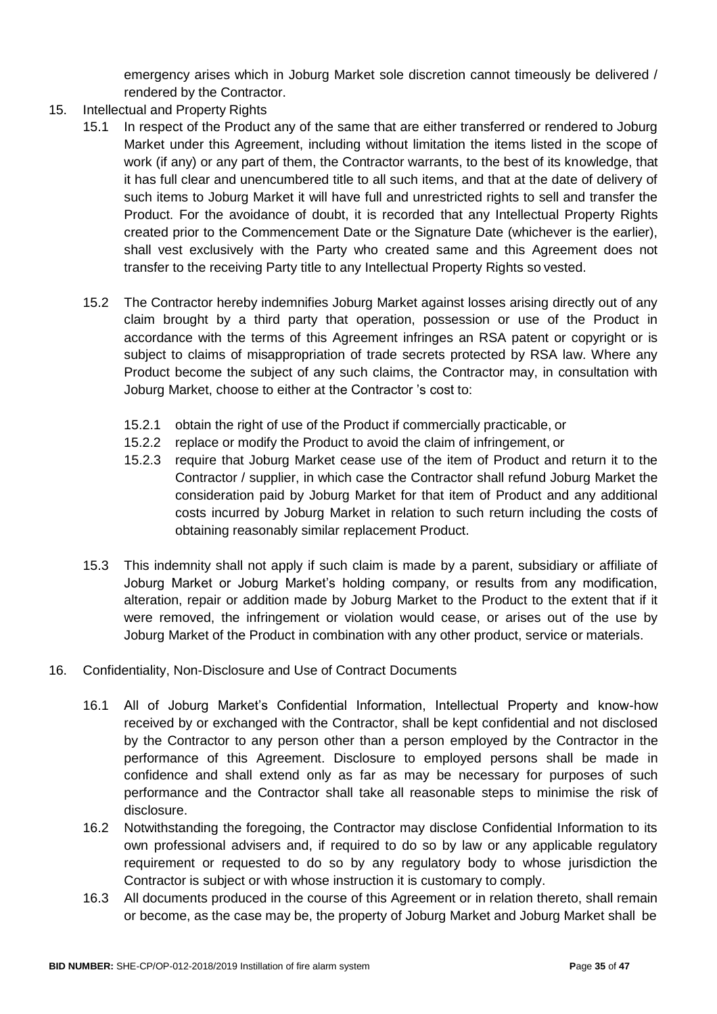emergency arises which in Joburg Market sole discretion cannot timeously be delivered / rendered by the Contractor.

- 15. Intellectual and Property Rights
	- 15.1 In respect of the Product any of the same that are either transferred or rendered to Joburg Market under this Agreement, including without limitation the items listed in the scope of work (if any) or any part of them, the Contractor warrants, to the best of its knowledge, that it has full clear and unencumbered title to all such items, and that at the date of delivery of such items to Joburg Market it will have full and unrestricted rights to sell and transfer the Product. For the avoidance of doubt, it is recorded that any Intellectual Property Rights created prior to the Commencement Date or the Signature Date (whichever is the earlier), shall vest exclusively with the Party who created same and this Agreement does not transfer to the receiving Party title to any Intellectual Property Rights so vested.
	- 15.2 The Contractor hereby indemnifies Joburg Market against losses arising directly out of any claim brought by a third party that operation, possession or use of the Product in accordance with the terms of this Agreement infringes an RSA patent or copyright or is subject to claims of misappropriation of trade secrets protected by RSA law. Where any Product become the subject of any such claims, the Contractor may, in consultation with Joburg Market, choose to either at the Contractor 's cost to:
		- 15.2.1 obtain the right of use of the Product if commercially practicable, or
		- 15.2.2 replace or modify the Product to avoid the claim of infringement, or
		- 15.2.3 require that Joburg Market cease use of the item of Product and return it to the Contractor / supplier, in which case the Contractor shall refund Joburg Market the consideration paid by Joburg Market for that item of Product and any additional costs incurred by Joburg Market in relation to such return including the costs of obtaining reasonably similar replacement Product.
	- 15.3 This indemnity shall not apply if such claim is made by a parent, subsidiary or affiliate of Joburg Market or Joburg Market's holding company, or results from any modification, alteration, repair or addition made by Joburg Market to the Product to the extent that if it were removed, the infringement or violation would cease, or arises out of the use by Joburg Market of the Product in combination with any other product, service or materials.
- 16. Confidentiality, Non-Disclosure and Use of Contract Documents
	- 16.1 All of Joburg Market's Confidential Information, Intellectual Property and know-how received by or exchanged with the Contractor, shall be kept confidential and not disclosed by the Contractor to any person other than a person employed by the Contractor in the performance of this Agreement. Disclosure to employed persons shall be made in confidence and shall extend only as far as may be necessary for purposes of such performance and the Contractor shall take all reasonable steps to minimise the risk of disclosure.
	- 16.2 Notwithstanding the foregoing, the Contractor may disclose Confidential Information to its own professional advisers and, if required to do so by law or any applicable regulatory requirement or requested to do so by any regulatory body to whose jurisdiction the Contractor is subject or with whose instruction it is customary to comply.
	- 16.3 All documents produced in the course of this Agreement or in relation thereto, shall remain or become, as the case may be, the property of Joburg Market and Joburg Market shall be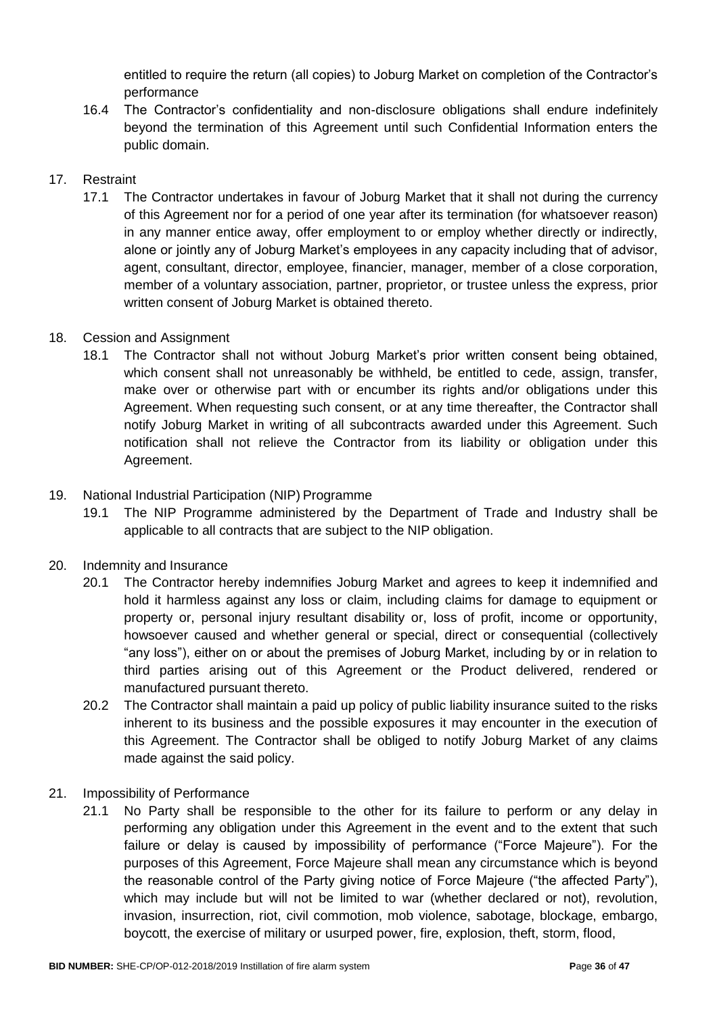entitled to require the return (all copies) to Joburg Market on completion of the Contractor's performance

16.4 The Contractor's confidentiality and non-disclosure obligations shall endure indefinitely beyond the termination of this Agreement until such Confidential Information enters the public domain.

# 17. Restraint

17.1 The Contractor undertakes in favour of Joburg Market that it shall not during the currency of this Agreement nor for a period of one year after its termination (for whatsoever reason) in any manner entice away, offer employment to or employ whether directly or indirectly, alone or jointly any of Joburg Market's employees in any capacity including that of advisor, agent, consultant, director, employee, financier, manager, member of a close corporation, member of a voluntary association, partner, proprietor, or trustee unless the express, prior written consent of Joburg Market is obtained thereto.

# 18. Cession and Assignment

18.1 The Contractor shall not without Joburg Market's prior written consent being obtained, which consent shall not unreasonably be withheld, be entitled to cede, assign, transfer, make over or otherwise part with or encumber its rights and/or obligations under this Agreement. When requesting such consent, or at any time thereafter, the Contractor shall notify Joburg Market in writing of all subcontracts awarded under this Agreement. Such notification shall not relieve the Contractor from its liability or obligation under this Agreement.

# 19. National Industrial Participation (NIP) Programme

19.1 The NIP Programme administered by the Department of Trade and Industry shall be applicable to all contracts that are subject to the NIP obligation.

#### 20. Indemnity and Insurance

- 20.1 The Contractor hereby indemnifies Joburg Market and agrees to keep it indemnified and hold it harmless against any loss or claim, including claims for damage to equipment or property or, personal injury resultant disability or, loss of profit, income or opportunity, howsoever caused and whether general or special, direct or consequential (collectively "any loss"), either on or about the premises of Joburg Market, including by or in relation to third parties arising out of this Agreement or the Product delivered, rendered or manufactured pursuant thereto.
- 20.2 The Contractor shall maintain a paid up policy of public liability insurance suited to the risks inherent to its business and the possible exposures it may encounter in the execution of this Agreement. The Contractor shall be obliged to notify Joburg Market of any claims made against the said policy.
- 21. Impossibility of Performance
	- 21.1 No Party shall be responsible to the other for its failure to perform or any delay in performing any obligation under this Agreement in the event and to the extent that such failure or delay is caused by impossibility of performance ("Force Majeure"). For the purposes of this Agreement, Force Majeure shall mean any circumstance which is beyond the reasonable control of the Party giving notice of Force Majeure ("the affected Party"), which may include but will not be limited to war (whether declared or not), revolution, invasion, insurrection, riot, civil commotion, mob violence, sabotage, blockage, embargo, boycott, the exercise of military or usurped power, fire, explosion, theft, storm, flood,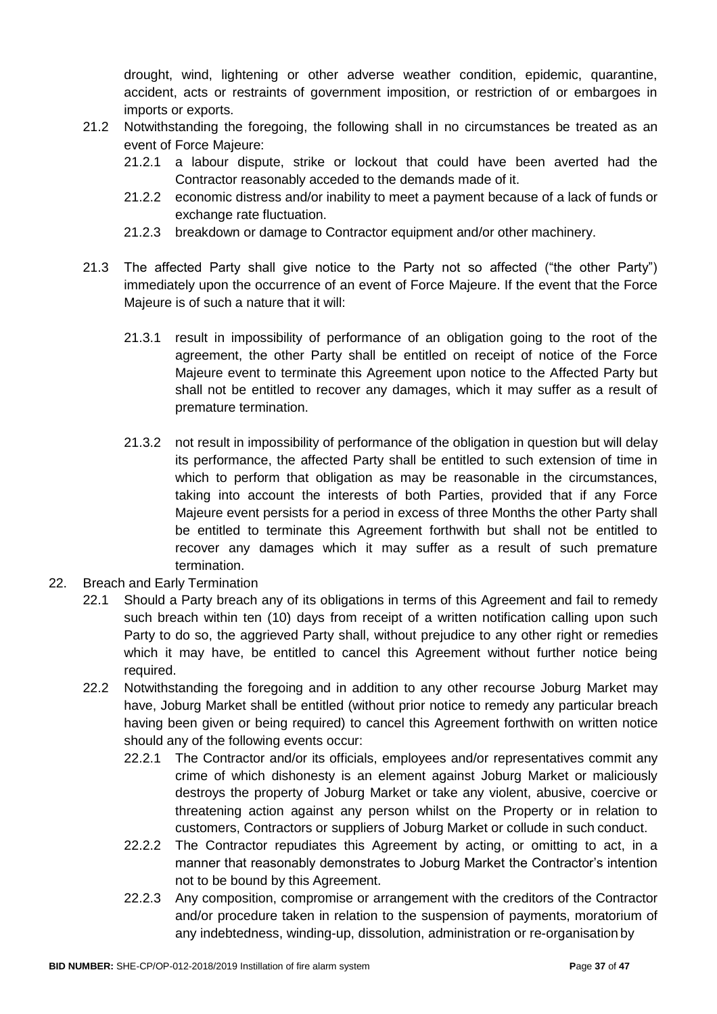drought, wind, lightening or other adverse weather condition, epidemic, quarantine, accident, acts or restraints of government imposition, or restriction of or embargoes in imports or exports.

- 21.2 Notwithstanding the foregoing, the following shall in no circumstances be treated as an event of Force Majeure:
	- 21.2.1 a labour dispute, strike or lockout that could have been averted had the Contractor reasonably acceded to the demands made of it.
	- 21.2.2 economic distress and/or inability to meet a payment because of a lack of funds or exchange rate fluctuation.
	- 21.2.3 breakdown or damage to Contractor equipment and/or other machinery.
- 21.3 The affected Party shall give notice to the Party not so affected ("the other Party") immediately upon the occurrence of an event of Force Majeure. If the event that the Force Majeure is of such a nature that it will:
	- 21.3.1 result in impossibility of performance of an obligation going to the root of the agreement, the other Party shall be entitled on receipt of notice of the Force Majeure event to terminate this Agreement upon notice to the Affected Party but shall not be entitled to recover any damages, which it may suffer as a result of premature termination.
	- 21.3.2 not result in impossibility of performance of the obligation in question but will delay its performance, the affected Party shall be entitled to such extension of time in which to perform that obligation as may be reasonable in the circumstances, taking into account the interests of both Parties, provided that if any Force Majeure event persists for a period in excess of three Months the other Party shall be entitled to terminate this Agreement forthwith but shall not be entitled to recover any damages which it may suffer as a result of such premature termination.
- 22. Breach and Early Termination
	- 22.1 Should a Party breach any of its obligations in terms of this Agreement and fail to remedy such breach within ten (10) days from receipt of a written notification calling upon such Party to do so, the aggrieved Party shall, without prejudice to any other right or remedies which it may have, be entitled to cancel this Agreement without further notice being required.
	- 22.2 Notwithstanding the foregoing and in addition to any other recourse Joburg Market may have, Joburg Market shall be entitled (without prior notice to remedy any particular breach having been given or being required) to cancel this Agreement forthwith on written notice should any of the following events occur:
		- 22.2.1 The Contractor and/or its officials, employees and/or representatives commit any crime of which dishonesty is an element against Joburg Market or maliciously destroys the property of Joburg Market or take any violent, abusive, coercive or threatening action against any person whilst on the Property or in relation to customers, Contractors or suppliers of Joburg Market or collude in such conduct.
		- 22.2.2 The Contractor repudiates this Agreement by acting, or omitting to act, in a manner that reasonably demonstrates to Joburg Market the Contractor's intention not to be bound by this Agreement.
		- 22.2.3 Any composition, compromise or arrangement with the creditors of the Contractor and/or procedure taken in relation to the suspension of payments, moratorium of any indebtedness, winding-up, dissolution, administration or re-organisation by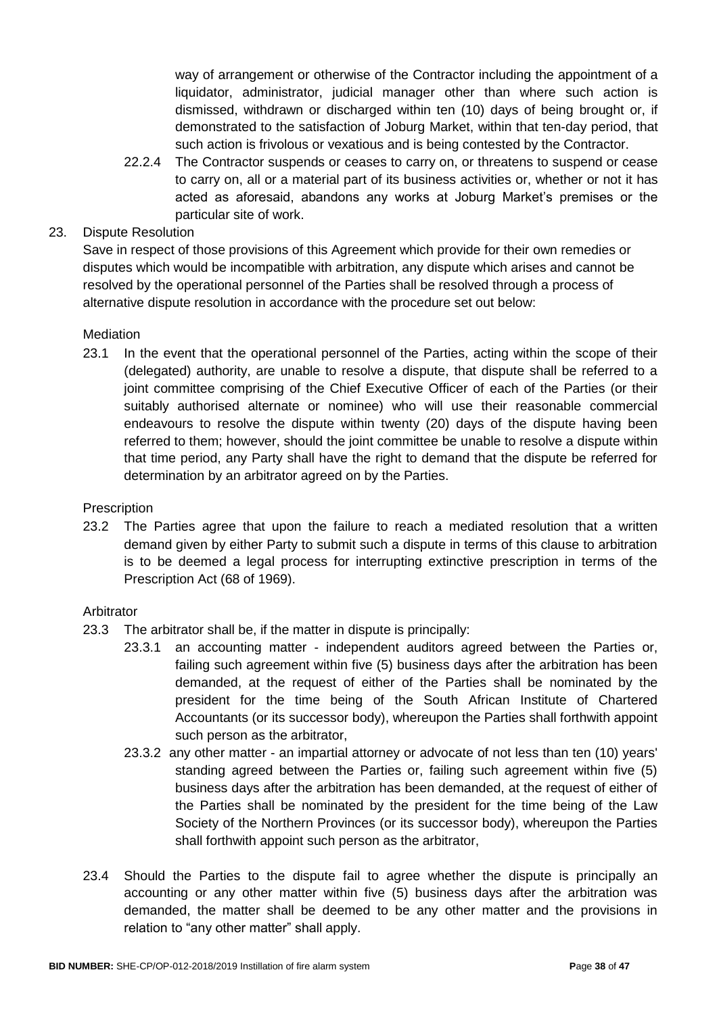way of arrangement or otherwise of the Contractor including the appointment of a liquidator, administrator, judicial manager other than where such action is dismissed, withdrawn or discharged within ten (10) days of being brought or, if demonstrated to the satisfaction of Joburg Market, within that ten-day period, that such action is frivolous or vexatious and is being contested by the Contractor.

22.2.4 The Contractor suspends or ceases to carry on, or threatens to suspend or cease to carry on, all or a material part of its business activities or, whether or not it has acted as aforesaid, abandons any works at Joburg Market's premises or the particular site of work.

# 23. Dispute Resolution

Save in respect of those provisions of this Agreement which provide for their own remedies or disputes which would be incompatible with arbitration, any dispute which arises and cannot be resolved by the operational personnel of the Parties shall be resolved through a process of alternative dispute resolution in accordance with the procedure set out below:

#### **Mediation**

23.1 In the event that the operational personnel of the Parties, acting within the scope of their (delegated) authority, are unable to resolve a dispute, that dispute shall be referred to a joint committee comprising of the Chief Executive Officer of each of the Parties (or their suitably authorised alternate or nominee) who will use their reasonable commercial endeavours to resolve the dispute within twenty (20) days of the dispute having been referred to them; however, should the joint committee be unable to resolve a dispute within that time period, any Party shall have the right to demand that the dispute be referred for determination by an arbitrator agreed on by the Parties.

#### **Prescription**

23.2 The Parties agree that upon the failure to reach a mediated resolution that a written demand given by either Party to submit such a dispute in terms of this clause to arbitration is to be deemed a legal process for interrupting extinctive prescription in terms of the Prescription Act (68 of 1969).

#### Arbitrator

- 23.3 The arbitrator shall be, if the matter in dispute is principally:
	- 23.3.1 an accounting matter independent auditors agreed between the Parties or, failing such agreement within five (5) business days after the arbitration has been demanded, at the request of either of the Parties shall be nominated by the president for the time being of the South African Institute of Chartered Accountants (or its successor body), whereupon the Parties shall forthwith appoint such person as the arbitrator,
	- 23.3.2 any other matter an impartial attorney or advocate of not less than ten (10) years' standing agreed between the Parties or, failing such agreement within five (5) business days after the arbitration has been demanded, at the request of either of the Parties shall be nominated by the president for the time being of the Law Society of the Northern Provinces (or its successor body), whereupon the Parties shall forthwith appoint such person as the arbitrator,
- 23.4 Should the Parties to the dispute fail to agree whether the dispute is principally an accounting or any other matter within five (5) business days after the arbitration was demanded, the matter shall be deemed to be any other matter and the provisions in relation to "any other matter" shall apply.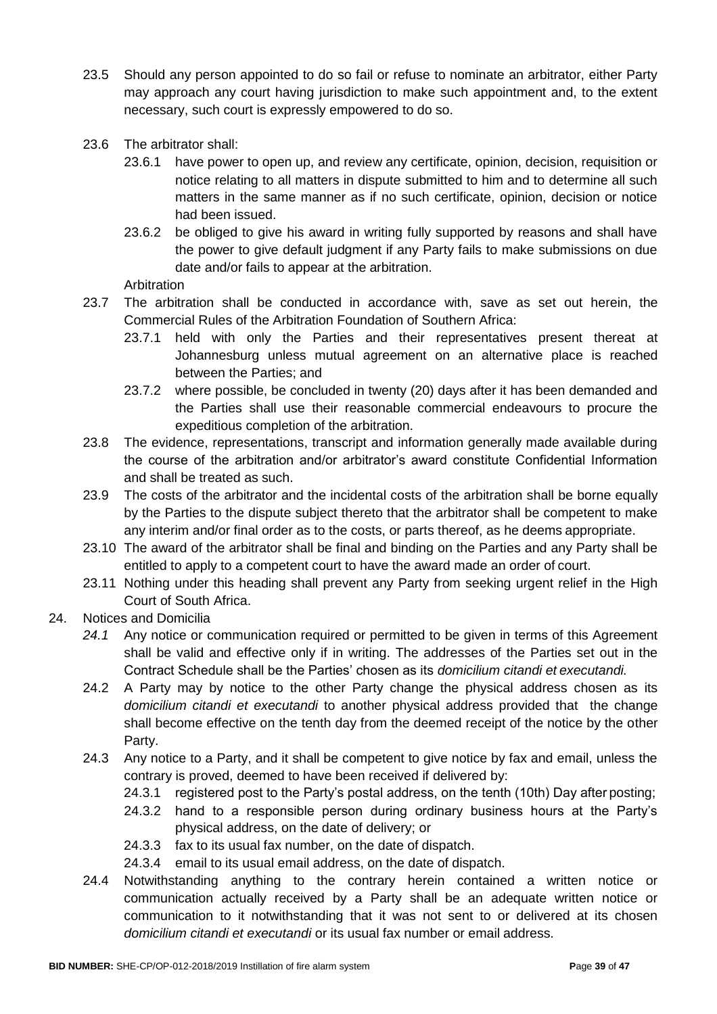- 23.5 Should any person appointed to do so fail or refuse to nominate an arbitrator, either Party may approach any court having jurisdiction to make such appointment and, to the extent necessary, such court is expressly empowered to do so.
- 23.6 The arbitrator shall:
	- 23.6.1 have power to open up, and review any certificate, opinion, decision, requisition or notice relating to all matters in dispute submitted to him and to determine all such matters in the same manner as if no such certificate, opinion, decision or notice had been issued.
	- 23.6.2 be obliged to give his award in writing fully supported by reasons and shall have the power to give default judgment if any Party fails to make submissions on due date and/or fails to appear at the arbitration.

**Arbitration** 

- 23.7 The arbitration shall be conducted in accordance with, save as set out herein, the Commercial Rules of the Arbitration Foundation of Southern Africa:
	- 23.7.1 held with only the Parties and their representatives present thereat at Johannesburg unless mutual agreement on an alternative place is reached between the Parties; and
	- 23.7.2 where possible, be concluded in twenty (20) days after it has been demanded and the Parties shall use their reasonable commercial endeavours to procure the expeditious completion of the arbitration.
- 23.8 The evidence, representations, transcript and information generally made available during the course of the arbitration and/or arbitrator's award constitute Confidential Information and shall be treated as such.
- 23.9 The costs of the arbitrator and the incidental costs of the arbitration shall be borne equally by the Parties to the dispute subject thereto that the arbitrator shall be competent to make any interim and/or final order as to the costs, or parts thereof, as he deems appropriate.
- 23.10 The award of the arbitrator shall be final and binding on the Parties and any Party shall be entitled to apply to a competent court to have the award made an order of court.
- 23.11 Nothing under this heading shall prevent any Party from seeking urgent relief in the High Court of South Africa.
- 24. Notices and Domicilia
	- *24.1* Any notice or communication required or permitted to be given in terms of this Agreement shall be valid and effective only if in writing. The addresses of the Parties set out in the Contract Schedule shall be the Parties' chosen as its *domicilium citandi et executandi.*
	- 24.2 A Party may by notice to the other Party change the physical address chosen as its *domicilium citandi et executandi* to another physical address provided that the change shall become effective on the tenth day from the deemed receipt of the notice by the other Party.
	- 24.3 Any notice to a Party, and it shall be competent to give notice by fax and email, unless the contrary is proved, deemed to have been received if delivered by:
		- 24.3.1 registered post to the Party's postal address, on the tenth (10th) Day after posting;
		- 24.3.2 hand to a responsible person during ordinary business hours at the Party's physical address, on the date of delivery; or
		- 24.3.3 fax to its usual fax number, on the date of dispatch.
		- 24.3.4 email to its usual email address, on the date of dispatch.
	- 24.4 Notwithstanding anything to the contrary herein contained a written notice or communication actually received by a Party shall be an adequate written notice or communication to it notwithstanding that it was not sent to or delivered at its chosen *domicilium citandi et executandi* or its usual fax number or email address.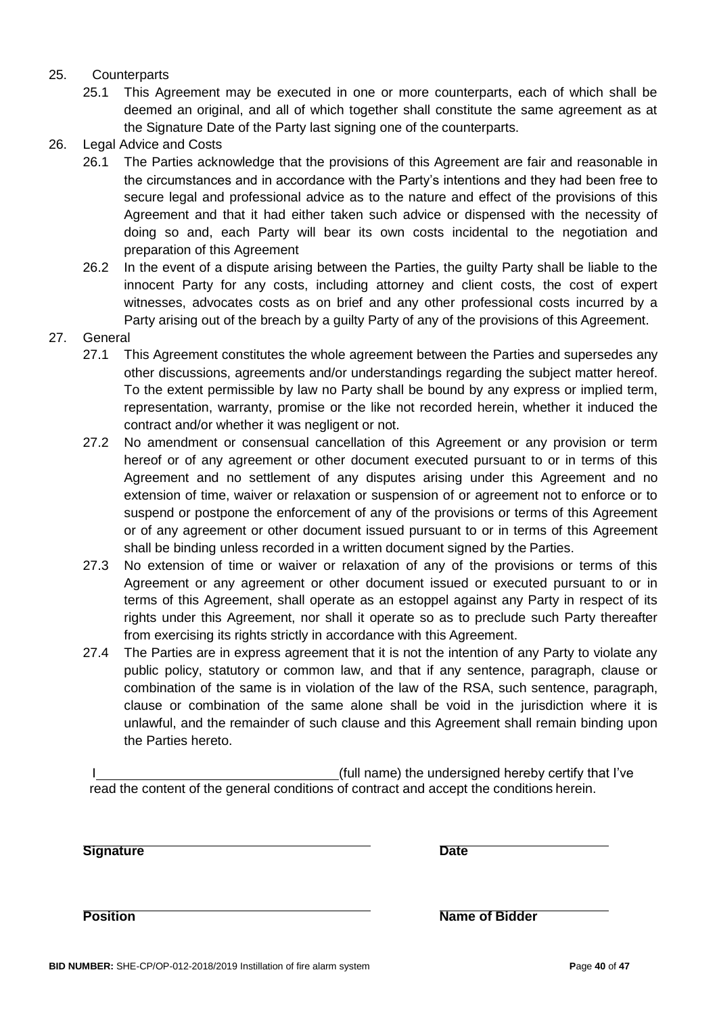#### 25. Counterparts

- 25.1 This Agreement may be executed in one or more counterparts, each of which shall be deemed an original, and all of which together shall constitute the same agreement as at the Signature Date of the Party last signing one of the counterparts.
- 26. Legal Advice and Costs
	- 26.1 The Parties acknowledge that the provisions of this Agreement are fair and reasonable in the circumstances and in accordance with the Party's intentions and they had been free to secure legal and professional advice as to the nature and effect of the provisions of this Agreement and that it had either taken such advice or dispensed with the necessity of doing so and, each Party will bear its own costs incidental to the negotiation and preparation of this Agreement
	- 26.2 In the event of a dispute arising between the Parties, the guilty Party shall be liable to the innocent Party for any costs, including attorney and client costs, the cost of expert witnesses, advocates costs as on brief and any other professional costs incurred by a Party arising out of the breach by a guilty Party of any of the provisions of this Agreement.
- 27. General
	- 27.1 This Agreement constitutes the whole agreement between the Parties and supersedes any other discussions, agreements and/or understandings regarding the subject matter hereof. To the extent permissible by law no Party shall be bound by any express or implied term, representation, warranty, promise or the like not recorded herein, whether it induced the contract and/or whether it was negligent or not.
	- 27.2 No amendment or consensual cancellation of this Agreement or any provision or term hereof or of any agreement or other document executed pursuant to or in terms of this Agreement and no settlement of any disputes arising under this Agreement and no extension of time, waiver or relaxation or suspension of or agreement not to enforce or to suspend or postpone the enforcement of any of the provisions or terms of this Agreement or of any agreement or other document issued pursuant to or in terms of this Agreement shall be binding unless recorded in a written document signed by the Parties.
	- 27.3 No extension of time or waiver or relaxation of any of the provisions or terms of this Agreement or any agreement or other document issued or executed pursuant to or in terms of this Agreement, shall operate as an estoppel against any Party in respect of its rights under this Agreement, nor shall it operate so as to preclude such Party thereafter from exercising its rights strictly in accordance with this Agreement.
	- 27.4 The Parties are in express agreement that it is not the intention of any Party to violate any public policy, statutory or common law, and that if any sentence, paragraph, clause or combination of the same is in violation of the law of the RSA, such sentence, paragraph, clause or combination of the same alone shall be void in the jurisdiction where it is unlawful, and the remainder of such clause and this Agreement shall remain binding upon the Parties hereto.

(full name) the undersigned hereby certify that I've read the content of the general conditions of contract and accept the conditions herein.

**Signature Date**

**Position Name of Bidder Name of Bidder**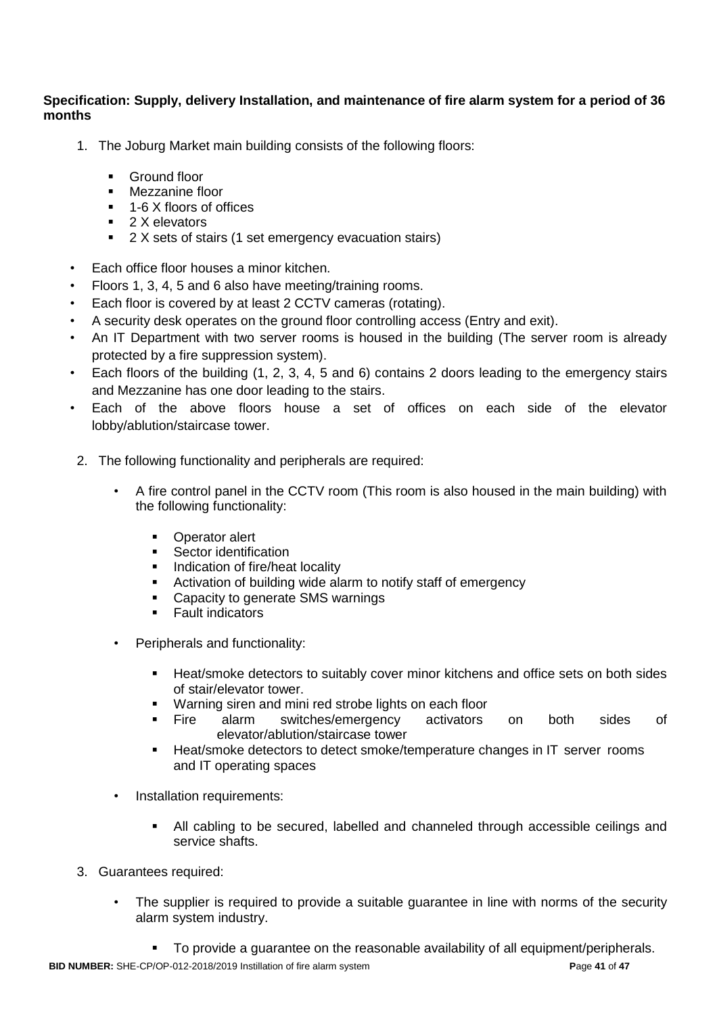## **Specification: Supply, delivery Installation, and maintenance of fire alarm system for a period of 36 months**

- 1. The Joburg Market main building consists of the following floors:
	- **Ground floor**
	- **Nezzanine floor**
	- 1-6 X floors of offices
	- 2 X elevators
	- 2 X sets of stairs (1 set emergency evacuation stairs)
- Each office floor houses a minor kitchen.
- Floors 1, 3, 4, 5 and 6 also have meeting/training rooms.
- Each floor is covered by at least 2 CCTV cameras (rotating).
- A security desk operates on the ground floor controlling access (Entry and exit).
- An IT Department with two server rooms is housed in the building (The server room is already protected by a fire suppression system).
- Each floors of the building (1, 2, 3, 4, 5 and 6) contains 2 doors leading to the emergency stairs and Mezzanine has one door leading to the stairs.
- Each of the above floors house a set of offices on each side of the elevator lobby/ablution/staircase tower.
- 2. The following functionality and peripherals are required:
	- A fire control panel in the CCTV room (This room is also housed in the main building) with the following functionality:
		- **•** Operator alert
		- **Sector identification**
		- **Indication of fire/heat locality**
		- Activation of building wide alarm to notify staff of emergency
		- Capacity to generate SMS warnings
		- **Fault indicators**
	- Peripherals and functionality:
		- Heat/smoke detectors to suitably cover minor kitchens and office sets on both sides of stair/elevator tower.
		- **Warning siren and mini red strobe lights on each floor**
		- Fire alarm switches/emergency activators on both sides of elevator/ablution/staircase tower
		- Heat/smoke detectors to detect smoke/temperature changes in IT server rooms and IT operating spaces
	- Installation requirements:
		- All cabling to be secured, labelled and channeled through accessible ceilings and service shafts.
- 3. Guarantees required:
	- The supplier is required to provide a suitable guarantee in line with norms of the security alarm system industry.
		- To provide a guarantee on the reasonable availability of all equipment/peripherals.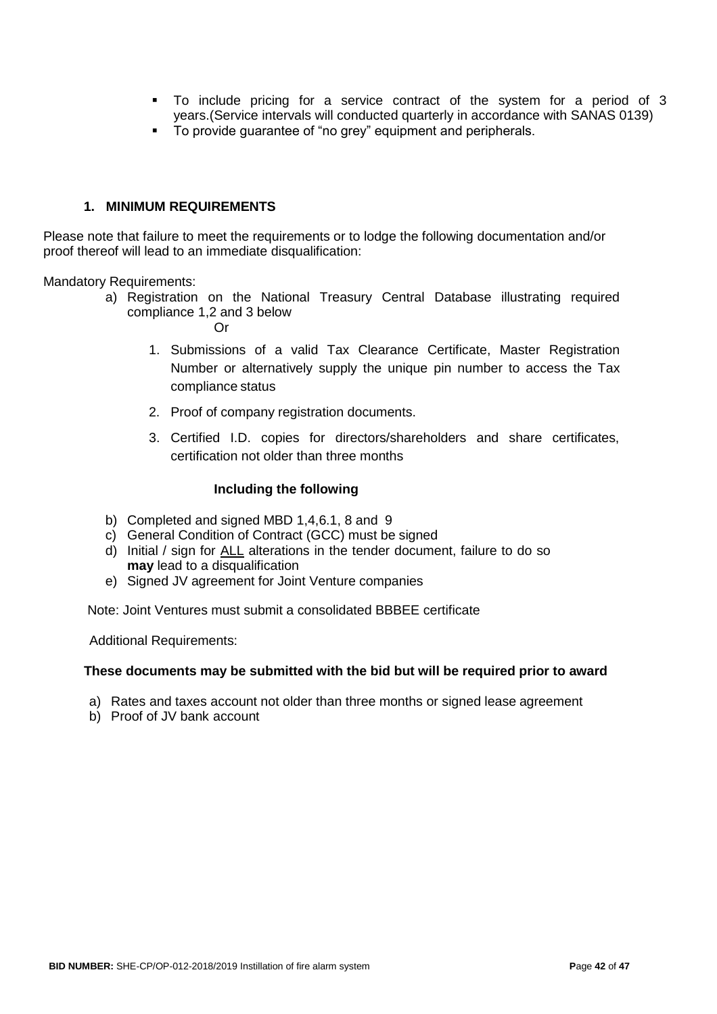- To include pricing for a service contract of the system for a period of 3 years.(Service intervals will conducted quarterly in accordance with SANAS 0139)
- To provide guarantee of "no grey" equipment and peripherals.

#### **1. MINIMUM REQUIREMENTS**

Please note that failure to meet the requirements or to lodge the following documentation and/or proof thereof will lead to an immediate disqualification:

Mandatory Requirements:

a) Registration on the National Treasury Central Database illustrating required compliance 1,2 and 3 below

Or

- 1. Submissions of a valid Tax Clearance Certificate, Master Registration Number or alternatively supply the unique pin number to access the Tax compliance status
- 2. Proof of company registration documents.
- 3. Certified I.D. copies for directors/shareholders and share certificates, certification not older than three months

#### **Including the following**

- b) Completed and signed MBD 1,4,6.1, 8 and 9
- c) General Condition of Contract (GCC) must be signed
- d) Initial / sign for ALL alterations in the tender document, failure to do so **may** lead to a disqualification
- e) Signed JV agreement for Joint Venture companies

Note: Joint Ventures must submit a consolidated BBBEE certificate

Additional Requirements:

#### **These documents may be submitted with the bid but will be required prior to award**

- a) Rates and taxes account not older than three months or signed lease agreement
- b) Proof of JV bank account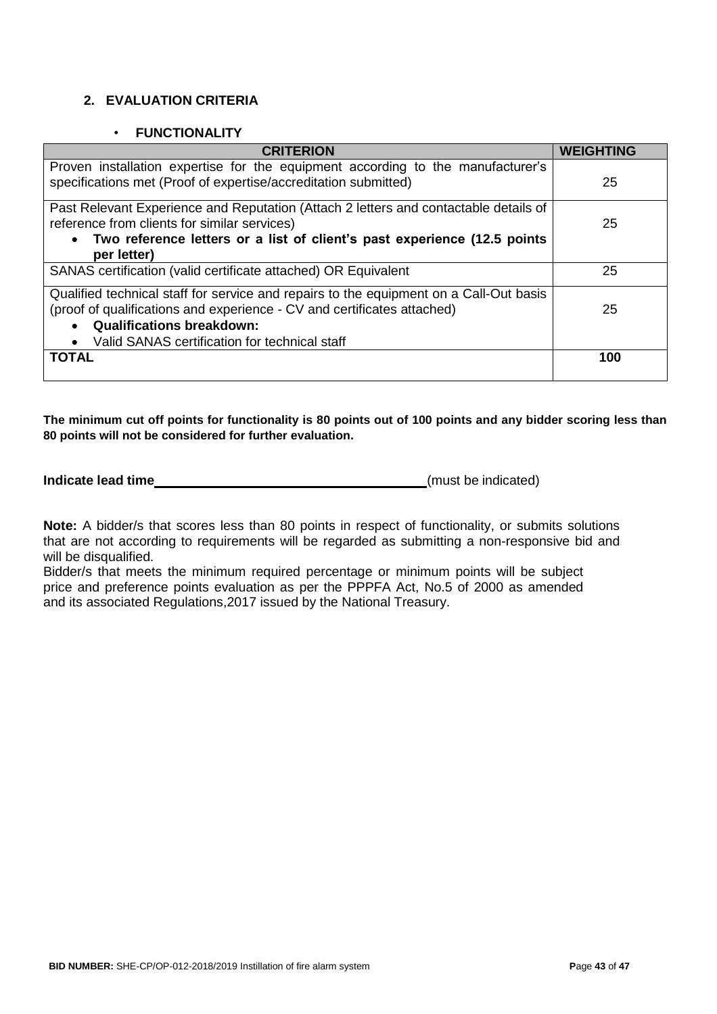# **2. EVALUATION CRITERIA**

#### • **FUNCTIONALITY**

| <b>CRITERION</b>                                                                       | WEIGHTING |
|----------------------------------------------------------------------------------------|-----------|
| Proven installation expertise for the equipment according to the manufacturer's        |           |
| specifications met (Proof of expertise/accreditation submitted)                        | 25        |
| Past Relevant Experience and Reputation (Attach 2 letters and contactable details of   |           |
| reference from clients for similar services)                                           | 25        |
| Two reference letters or a list of client's past experience (12.5 points<br>$\bullet$  |           |
| per letter)                                                                            |           |
| SANAS certification (valid certificate attached) OR Equivalent                         | 25        |
| Qualified technical staff for service and repairs to the equipment on a Call-Out basis |           |
| (proof of qualifications and experience - CV and certificates attached)                | 25        |
| <b>Qualifications breakdown:</b><br>$\bullet$                                          |           |
| Valid SANAS certification for technical staff                                          |           |
| <b>TOTAL</b>                                                                           | 100       |
|                                                                                        |           |

**The minimum cut off points for functionality is 80 points out of 100 points and any bidder scoring less than 80 points will not be considered for further evaluation.**

**Indicate lead time** (must be indicated)

**Note:** A bidder/s that scores less than 80 points in respect of functionality, or submits solutions that are not according to requirements will be regarded as submitting a non-responsive bid and will be disqualified.

Bidder/s that meets the minimum required percentage or minimum points will be subject price and preference points evaluation as per the PPPFA Act, No.5 of 2000 as amended and its associated Regulations,2017 issued by the National Treasury.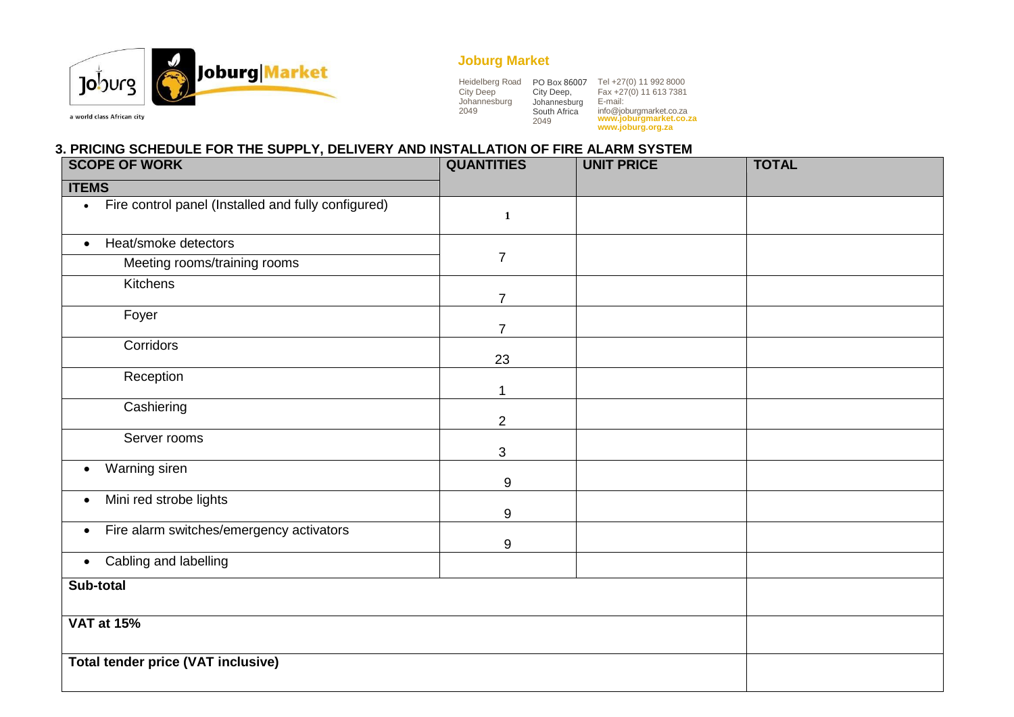

# **Joburg Market**

| Heidelberg Road  | PO Box 86007         | Tel +27(0) 11 992 8000                            |
|------------------|----------------------|---------------------------------------------------|
| <b>City Deep</b> | City Deep,           | Fax +27(0) 11 613 7381                            |
| Johannesburg     | Johannesburg         | E-mail:                                           |
| 2049             | South Africa<br>2049 | info@joburgmarket.co.za<br>www.joburgmarket.co.za |
|                  |                      | www.joburg.org.za                                 |

a world class African city

# **3. PRICING SCHEDULE FOR THE SUPPLY, DELIVERY AND INSTALLATION OF FIRE ALARM SYSTEM**

| <b>SCOPE OF WORK</b>                                             | <b>QUANTITIES</b> | <b>UNIT PRICE</b> | <b>TOTAL</b> |
|------------------------------------------------------------------|-------------------|-------------------|--------------|
| <b>ITEMS</b>                                                     |                   |                   |              |
| Fire control panel (Installed and fully configured)<br>$\bullet$ | $\mathbf{1}$      |                   |              |
| Heat/smoke detectors<br>$\bullet$                                |                   |                   |              |
| Meeting rooms/training rooms                                     | $\overline{7}$    |                   |              |
| Kitchens                                                         | $\overline{7}$    |                   |              |
| Foyer                                                            | $\overline{7}$    |                   |              |
| Corridors                                                        | 23                |                   |              |
| Reception                                                        | 1                 |                   |              |
| Cashiering                                                       | $\overline{2}$    |                   |              |
| Server rooms                                                     | 3                 |                   |              |
| Warning siren<br>$\bullet$                                       | 9                 |                   |              |
| Mini red strobe lights<br>$\bullet$                              | 9                 |                   |              |
| Fire alarm switches/emergency activators<br>$\bullet$            | 9                 |                   |              |
| Cabling and labelling<br>$\bullet$                               |                   |                   |              |
| Sub-total                                                        |                   |                   |              |
| <b>VAT at 15%</b>                                                |                   |                   |              |
| <b>Total tender price (VAT inclusive)</b>                        |                   |                   |              |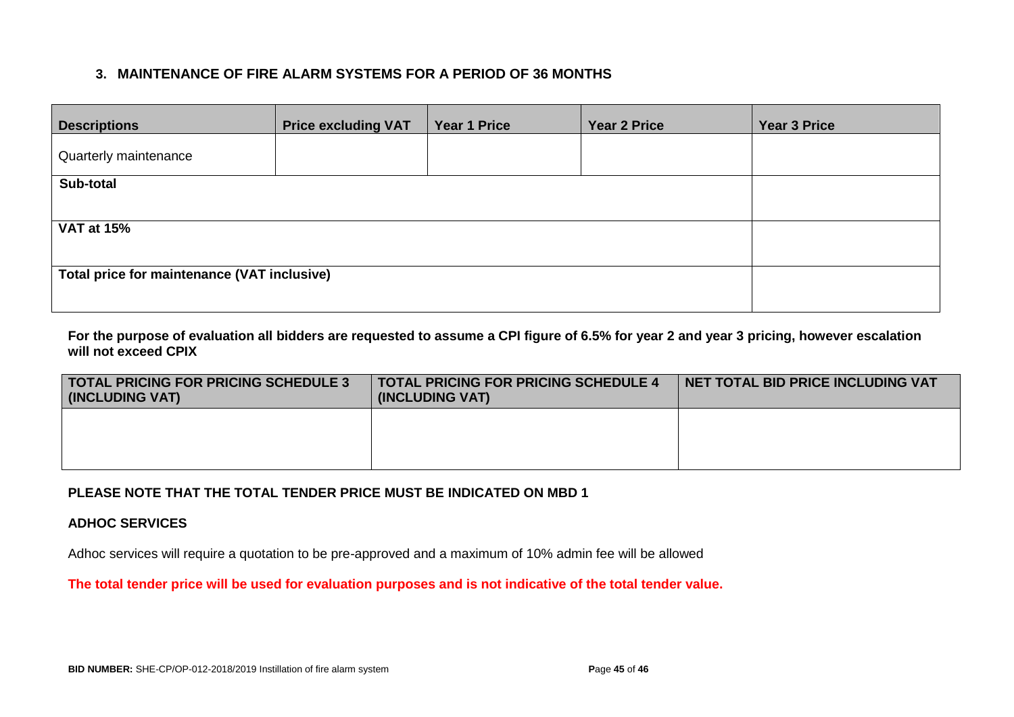# **3. MAINTENANCE OF FIRE ALARM SYSTEMS FOR A PERIOD OF 36 MONTHS**

| <b>Descriptions</b>                         | <b>Price excluding VAT</b> | <b>Year 1 Price</b> | <b>Year 2 Price</b> | <b>Year 3 Price</b> |
|---------------------------------------------|----------------------------|---------------------|---------------------|---------------------|
| Quarterly maintenance                       |                            |                     |                     |                     |
| Sub-total                                   |                            |                     |                     |                     |
|                                             |                            |                     |                     |                     |
| <b>VAT at 15%</b>                           |                            |                     |                     |                     |
|                                             |                            |                     |                     |                     |
| Total price for maintenance (VAT inclusive) |                            |                     |                     |                     |
|                                             |                            |                     |                     |                     |

**For the purpose of evaluation all bidders are requested to assume a CPI figure of 6.5% for year 2 and year 3 pricing, however escalation will not exceed CPIX**

| <b>TOTAL PRICING FOR PRICING SCHEDULE 3</b><br>(INCLUDING VAT) | <b>TOTAL PRICING FOR PRICING SCHEDULE 4</b><br>(INCLUDING VAT) | NET TOTAL BID PRICE INCLUDING VAT |
|----------------------------------------------------------------|----------------------------------------------------------------|-----------------------------------|
|                                                                |                                                                |                                   |
|                                                                |                                                                |                                   |

## **PLEASE NOTE THAT THE TOTAL TENDER PRICE MUST BE INDICATED ON MBD 1**

#### **ADHOC SERVICES**

Adhoc services will require a quotation to be pre-approved and a maximum of 10% admin fee will be allowed

**The total tender price will be used for evaluation purposes and is not indicative of the total tender value.**